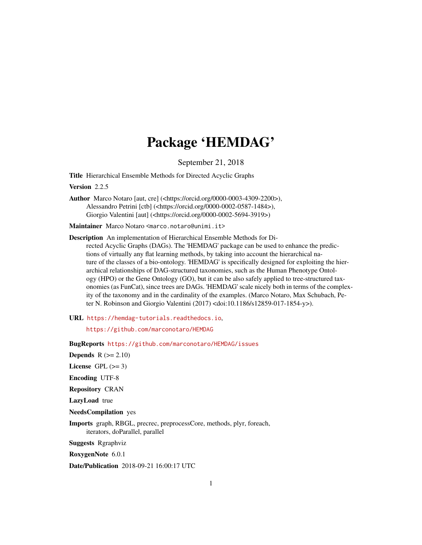# Package 'HEMDAG'

September 21, 2018

Title Hierarchical Ensemble Methods for Directed Acyclic Graphs

Version 2.2.5

Author Marco Notaro [aut, cre] (<https://orcid.org/0000-0003-4309-2200>), Alessandro Petrini [ctb] (<https://orcid.org/0000-0002-0587-1484>), Giorgio Valentini [aut] (<https://orcid.org/0000-0002-5694-3919>)

Maintainer Marco Notaro <marco.notaro@unimi.it>

Description An implementation of Hierarchical Ensemble Methods for Di-

rected Acyclic Graphs (DAGs). The 'HEMDAG' package can be used to enhance the predictions of virtually any flat learning methods, by taking into account the hierarchical nature of the classes of a bio-ontology. 'HEMDAG' is specifically designed for exploiting the hierarchical relationships of DAG-structured taxonomies, such as the Human Phenotype Ontology (HPO) or the Gene Ontology (GO), but it can be also safely applied to tree-structured taxonomies (as FunCat), since trees are DAGs. 'HEMDAG' scale nicely both in terms of the complexity of the taxonomy and in the cardinality of the examples. (Marco Notaro, Max Schubach, Peter N. Robinson and Giorgio Valentini (2017) <doi:10.1186/s12859-017-1854-y>).

URL <https://hemdag-tutorials.readthedocs.io>,

<https://github.com/marconotaro/HEMDAG>

BugReports <https://github.com/marconotaro/HEMDAG/issues>

**Depends**  $R$  ( $>= 2.10$ ) License GPL  $(>= 3)$ 

Encoding UTF-8

Repository CRAN

LazyLoad true

NeedsCompilation yes

Imports graph, RBGL, precrec, preprocessCore, methods, plyr, foreach, iterators, doParallel, parallel

Suggests Rgraphviz

RoxygenNote 6.0.1

Date/Publication 2018-09-21 16:00:17 UTC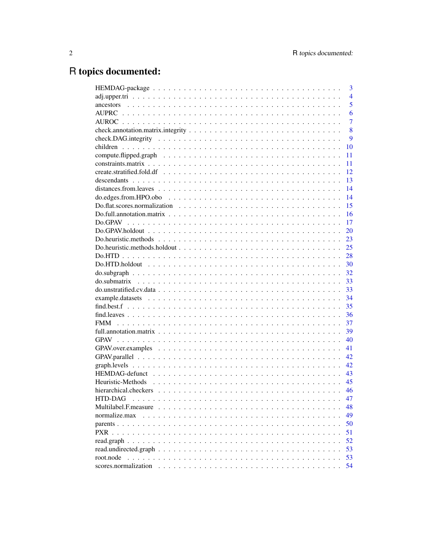# R topics documented:

|                      | 3              |
|----------------------|----------------|
|                      | $\overline{4}$ |
|                      | 5              |
|                      | 6              |
|                      | $\overline{7}$ |
|                      | 8              |
|                      | 9              |
|                      | 10             |
|                      | 11             |
|                      | 11             |
|                      | 12             |
|                      | 13             |
|                      | 14             |
|                      | 14             |
|                      | 15             |
|                      | 16             |
|                      | 17             |
|                      | 20             |
|                      | 23             |
|                      | 25             |
|                      | 28             |
|                      | 30             |
|                      | 32             |
|                      | 33             |
|                      | 33             |
|                      | 34             |
|                      | 35             |
|                      | 36             |
|                      | 37             |
|                      | 39             |
|                      | 40             |
|                      | 41             |
|                      | 42             |
|                      | 42             |
|                      | 43             |
|                      | 45             |
|                      | 46             |
| <b>HTD-DAG</b>       | 47             |
|                      | 48             |
| normalize.max        | 49             |
|                      | 50             |
|                      | 51             |
|                      | 52             |
|                      | 53             |
| root.node            | 53             |
| scores.normalization | 54             |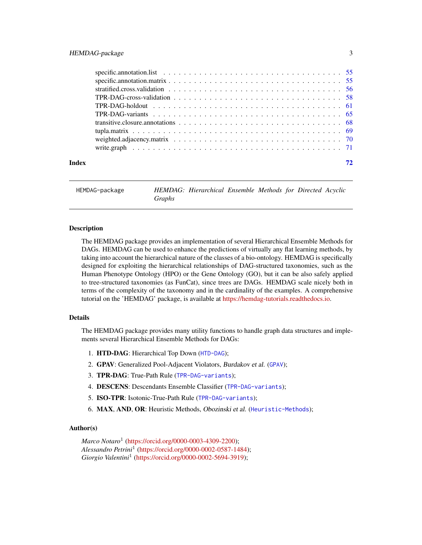<span id="page-2-0"></span>

| Index |  |
|-------|--|

HEMDAG-package *HEMDAG: Hierarchical Ensemble Methods for Directed Acyclic Graphs*

# Description

The HEMDAG package provides an implementation of several Hierarchical Ensemble Methods for DAGs. HEMDAG can be used to enhance the predictions of virtually any flat learning methods, by taking into account the hierarchical nature of the classes of a bio-ontology. HEMDAG is specifically designed for exploiting the hierarchical relationships of DAG-structured taxonomies, such as the Human Phenotype Ontology (HPO) or the Gene Ontology (GO), but it can be also safely applied to tree-structured taxonomies (as FunCat), since trees are DAGs. HEMDAG scale nicely both in terms of the complexity of the taxonomy and in the cardinality of the examples. A comprehensive tutorial on the 'HEMDAG' package, is available at [https://hemdag-tutorials.readthedocs.io.](https://hemdag-tutorials.readthedocs.io)

#### Details

The HEMDAG package provides many utility functions to handle graph data structures and implements several Hierarchical Ensemble Methods for DAGs:

- 1. HTD-DAG: Hierarchical Top Down ([HTD-DAG](#page-46-1));
- 2. GPAV: Generalized Pool-Adjacent Violators, Burdakov et al. ([GPAV](#page-39-1));
- 3. TPR-DAG: True-Path Rule ([TPR-DAG-variants](#page-64-1));
- 4. DESCENS: Descendants Ensemble Classifier ([TPR-DAG-variants](#page-64-1));
- 5. ISO-TPR: Isotonic-True-Path Rule ([TPR-DAG-variants](#page-64-1));
- 6. MAX, AND, OR: Heuristic Methods, Obozinski et al. ([Heuristic-Methods](#page-44-1));

#### Author(s)

*Marco Notaro*<sup>1</sup> [\(https://orcid.org/0000-0003-4309-2200\)](https://orcid.org/0000-0003-4309-2200); *Alessandro Petrini*<sup>1</sup> [\(https://orcid.org/0000-0002-0587-1484\)](https://orcid.org/0000-0002-0587-1484); *Giorgio Valentini*<sup>1</sup> [\(https://orcid.org/0000-0002-5694-3919\)](https://orcid.org/0000-0002-5694-3919);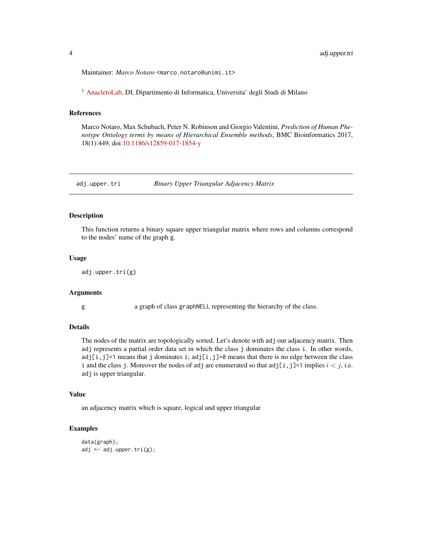<span id="page-3-0"></span>Maintainer: *Marco Notaro* <marco.notaro@unimi.it>

<sup>1</sup> [AnacletoLab,](https://sites.google.com/site/anacletolaboratory/) DI, Dipartimento di Informatica, Universita' degli Studi di Milano

# References

Marco Notaro, Max Schubach, Peter N. Robinson and Giorgio Valentini, *Prediction of Human Phenotype Ontology terms by means of Hierarchical Ensemble methods*, BMC Bioinformatics 2017, 18(1):449, doi[:10.1186/s12859-017-1854-y](https://doi.org/10.1186/s12859-017-1854-y)

adj.upper.tri *Binary Upper Triangular Adjacency Matrix*

# **Description**

This function returns a binary square upper triangular matrix where rows and columns correspond to the nodes' name of the graph g.

#### Usage

```
adj.upper.tri(g)
```
#### Arguments

g a graph of class graphNELL representing the hierarchy of the class.

# Details

The nodes of the matrix are topologically sorted. Let's denote with adj our adjacency matrix. Then adj represents a partial order data set in which the class j dominates the class i. In other words,  $adj[i,j]=1$  means that j dominates i;  $adj[i,j]=0$  means that there is no edge between the class i and the class j. Moreover the nodes of adj are enumerated so that  $adj[i,j]=1$  implies  $i < j$ , i.e. adj is upper triangular.

# Value

an adjacency matrix which is square, logical and upper triangular

# Examples

```
data(graph);
adj <- adj.upper.tri(g);
```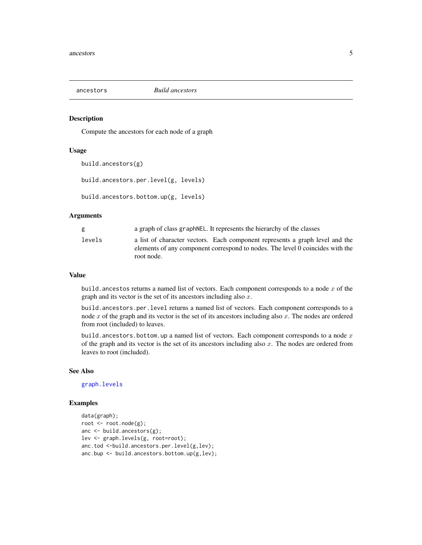<span id="page-4-0"></span>

#### <span id="page-4-1"></span>Description

Compute the ancestors for each node of a graph

#### Usage

```
build.ancestors(g)
```
build.ancestors.per.level(g, levels)

build.ancestors.bottom.up(g, levels)

# Arguments

| g      | a graph of class graph NEL. It represents the hierarchy of the classes                                                                                                      |
|--------|-----------------------------------------------------------------------------------------------------------------------------------------------------------------------------|
| levels | a list of character vectors. Each component represents a graph level and the<br>elements of any component correspond to nodes. The level 0 coincides with the<br>root node. |

#### Value

build. ancestos returns a named list of vectors. Each component corresponds to a node  $x$  of the graph and its vector is the set of its ancestors including also  $x$ .

build.ancestors.per.level returns a named list of vectors. Each component corresponds to a node  $x$  of the graph and its vector is the set of its ancestors including also  $x$ . The nodes are ordered from root (included) to leaves.

build.ancestors.bottom.up a named list of vectors. Each component corresponds to a node  $x$ of the graph and its vector is the set of its ancestors including also  $x$ . The nodes are ordered from leaves to root (included).

# See Also

[graph.levels](#page-41-1)

#### Examples

```
data(graph);
root <- root.node(g);
anc <- build.ancestors(g);
lev <- graph.levels(g, root=root);
anc.tod <-build.ancestors.per.level(g,lev);
anc.bup <- build.ancestors.bottom.up(g,lev);
```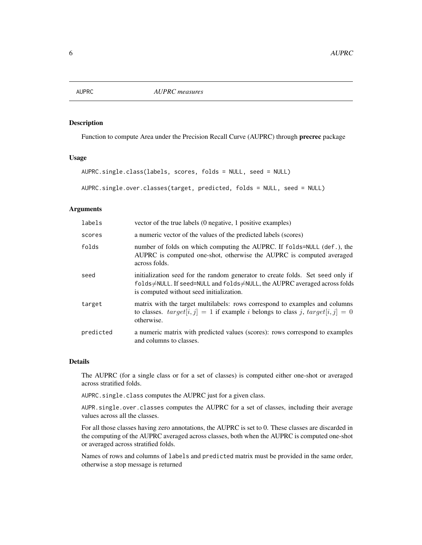<span id="page-5-1"></span><span id="page-5-0"></span>

# Description

Function to compute Area under the Precision Recall Curve (AUPRC) through precrec package

# Usage

```
AUPRC.single.class(labels, scores, folds = NULL, seed = NULL)
```

```
AUPRC.single.over.classes(target, predicted, folds = NULL, seed = NULL)
```
# **Arguments**

| labels    | vector of the true labels (0 negative, 1 positive examples)                                                                                                                                            |
|-----------|--------------------------------------------------------------------------------------------------------------------------------------------------------------------------------------------------------|
| scores    | a numeric vector of the values of the predicted labels (scores)                                                                                                                                        |
| folds     | number of folds on which computing the AUPRC. If folds=NULL (def.), the<br>AUPRC is computed one-shot, otherwise the AUPRC is computed averaged<br>across folds.                                       |
| seed      | initialization seed for the random generator to create folds. Set seed only if<br>folds≠NULL. If seed=NULL and folds≠NULL, the AUPRC averaged across folds<br>is computed without seed initialization. |
| target    | matrix with the target multilabels: rows correspond to examples and columns<br>to classes. $target[i, j] = 1$ if example <i>i</i> belongs to class <i>j</i> , $target[i, j] = 0$<br>otherwise.         |
| predicted | a numeric matrix with predicted values (scores): rows correspond to examples<br>and columns to classes.                                                                                                |

#### Details

The AUPRC (for a single class or for a set of classes) is computed either one-shot or averaged across stratified folds.

AUPRC.single.class computes the AUPRC just for a given class.

AUPR.single.over.classes computes the AUPRC for a set of classes, including their average values across all the classes.

For all those classes having zero annotations, the AUPRC is set to 0. These classes are discarded in the computing of the AUPRC averaged across classes, both when the AUPRC is computed one-shot or averaged across stratified folds.

Names of rows and columns of labels and predicted matrix must be provided in the same order, otherwise a stop message is returned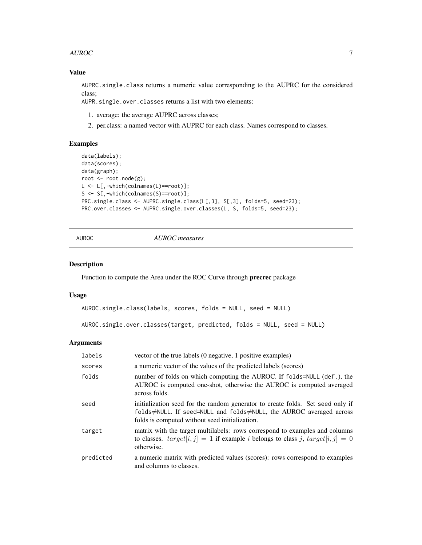#### <span id="page-6-0"></span>AUROC **AUROC 1999 1999 1999 1999 1999 1999 1999 1999 1999 1999 1999 1999 1999 1999 1999 1999 1999 1999 1999 1999 1999 1999 1999 1999 1999 1999 1999 1999 1999 1999**

# Value

AUPRC.single.class returns a numeric value corresponding to the AUPRC for the considered class;

AUPR.single.over.classes returns a list with two elements:

- 1. average: the average AUPRC across classes;
- 2. per.class: a named vector with AUPRC for each class. Names correspond to classes.

# Examples

```
data(labels);
data(scores);
data(graph);
root <- root.node(g);
L <- L[,-which(colnames(L)==root)];
S <- S[,-which(colnames(S)==root)];
PRC.single.class <- AUPRC.single.class(L[,3], S[,3], folds=5, seed=23);
PRC.over.classes <- AUPRC.single.over.classes(L, S, folds=5, seed=23);
```
AUROC *AUROC measures*

#### Description

Function to compute the Area under the ROC Curve through precrec package

### Usage

```
AUROC.single.class(labels, scores, folds = NULL, seed = NULL)
```

```
AUROC.single.over.classes(target, predicted, folds = NULL, seed = NULL)
```

| labels    | vector of the true labels (0 negative, 1 positive examples)                                                                                                                                            |
|-----------|--------------------------------------------------------------------------------------------------------------------------------------------------------------------------------------------------------|
| scores    | a numeric vector of the values of the predicted labels (scores)                                                                                                                                        |
| folds     | number of folds on which computing the AUROC. If folds=NULL (def.), the<br>AUROC is computed one-shot, otherwise the AUROC is computed averaged<br>across folds.                                       |
| seed      | initialization seed for the random generator to create folds. Set seed only if<br>folds≠NULL. If seed=NULL and folds≠NULL, the AUROC averaged across<br>folds is computed without seed initialization. |
| target    | matrix with the target multilabels: rows correspond to examples and columns<br>to classes. $target[i, j] = 1$ if example <i>i</i> belongs to class <i>j</i> , $target[i, j] = 0$<br>otherwise.         |
| predicted | a numeric matrix with predicted values (scores): rows correspond to examples<br>and columns to classes.                                                                                                |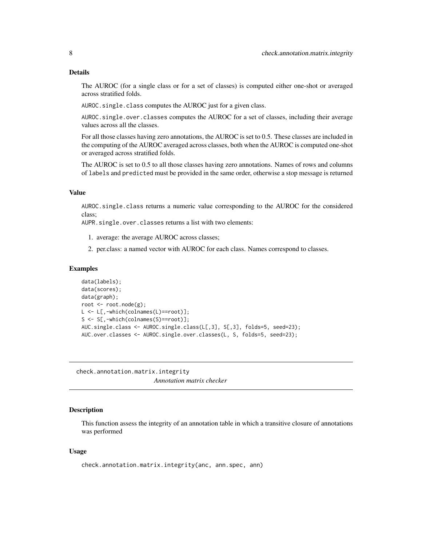#### <span id="page-7-0"></span>Details

The AUROC (for a single class or for a set of classes) is computed either one-shot or averaged across stratified folds.

AUROC.single.class computes the AUROC just for a given class.

AUROC.single.over.classes computes the AUROC for a set of classes, including their average values across all the classes.

For all those classes having zero annotations, the AUROC is set to 0.5. These classes are included in the computing of the AUROC averaged across classes, both when the AUROC is computed one-shot or averaged across stratified folds.

The AUROC is set to 0.5 to all those classes having zero annotations. Names of rows and columns of labels and predicted must be provided in the same order, otherwise a stop message is returned

# Value

AUROC.single.class returns a numeric value corresponding to the AUROC for the considered class;

AUPR.single.over.classes returns a list with two elements:

- 1. average: the average AUROC across classes;
- 2. per.class: a named vector with AUROC for each class. Names correspond to classes.

#### Examples

```
data(labels);
data(scores);
data(graph);
root <- root.node(g);
L <- L[,-which(colnames(L)==root)];
S <- S[,-which(colnames(S)==root)];
AUC.single.class <- AUROC.single.class(L[,3], S[,3], folds=5, seed=23);
AUC.over.classes <- AUROC.single.over.classes(L, S, folds=5, seed=23);
```
check.annotation.matrix.integrity *Annotation matrix checker*

#### Description

This function assess the integrity of an annotation table in which a transitive closure of annotations was performed

#### Usage

```
check.annotation.matrix.integrity(anc, ann.spec, ann)
```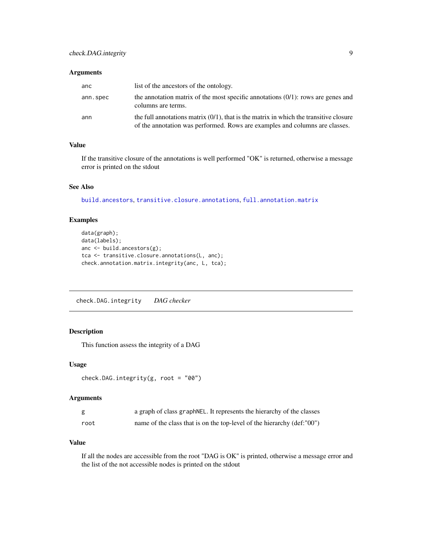# <span id="page-8-0"></span>Arguments

| anc      | list of the ancestors of the ontology.                                                                                                                                  |
|----------|-------------------------------------------------------------------------------------------------------------------------------------------------------------------------|
| ann.spec | the annotation matrix of the most specific annotations $(0/1)$ : rows are genes and<br>columns are terms.                                                               |
| ann      | the full annotations matrix $(0/1)$ , that is the matrix in which the transitive closure<br>of the annotation was performed. Rows are examples and columns are classes. |

# Value

If the transitive closure of the annotations is well performed "OK" is returned, otherwise a message error is printed on the stdout

# See Also

[build.ancestors](#page-4-1), [transitive.closure.annotations](#page-67-1), [full.annotation.matrix](#page-38-1)

# Examples

```
data(graph);
data(labels);
anc <- build.ancestors(g);
tca <- transitive.closure.annotations(L, anc);
check.annotation.matrix.integrity(anc, L, tca);
```
check.DAG.integrity *DAG checker*

# Description

This function assess the integrity of a DAG

#### Usage

```
check.DAG.integrity(g, root = "00")
```
# Arguments

|      | a graph of class graph NEL. It represents the hierarchy of the classes |
|------|------------------------------------------------------------------------|
| root | name of the class that is on the top-level of the hierarchy (def:"00") |

# Value

If all the nodes are accessible from the root "DAG is OK" is printed, otherwise a message error and the list of the not accessible nodes is printed on the stdout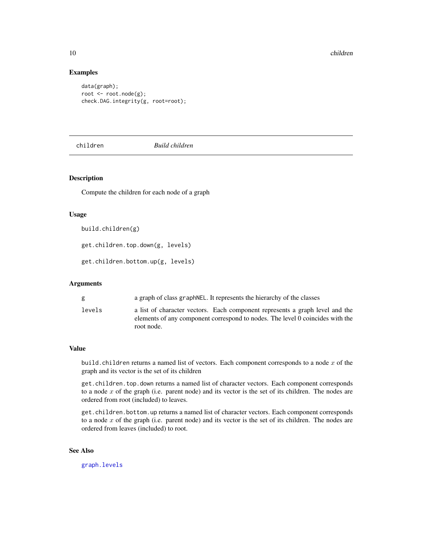# Examples

```
data(graph);
root <- root.node(g);
check.DAG.integrity(g, root=root);
```
children *Build children*

# Description

Compute the children for each node of a graph

#### Usage

build.children(g)

get.children.top.down(g, levels)

get.children.bottom.up(g, levels)

# Arguments

| g      | a graph of class graph NEL. It represents the hierarchy of the classes                                                                                                      |
|--------|-----------------------------------------------------------------------------------------------------------------------------------------------------------------------------|
| levels | a list of character vectors. Each component represents a graph level and the<br>elements of any component correspond to nodes. The level 0 coincides with the<br>root node. |

#### Value

build.children returns a named list of vectors. Each component corresponds to a node  $x$  of the graph and its vector is the set of its children

get.children.top.down returns a named list of character vectors. Each component corresponds to a node  $x$  of the graph (i.e. parent node) and its vector is the set of its children. The nodes are ordered from root (included) to leaves.

get.children.bottom.up returns a named list of character vectors. Each component corresponds to a node  $x$  of the graph (i.e. parent node) and its vector is the set of its children. The nodes are ordered from leaves (included) to root.

# See Also

[graph.levels](#page-41-1)

<span id="page-9-0"></span>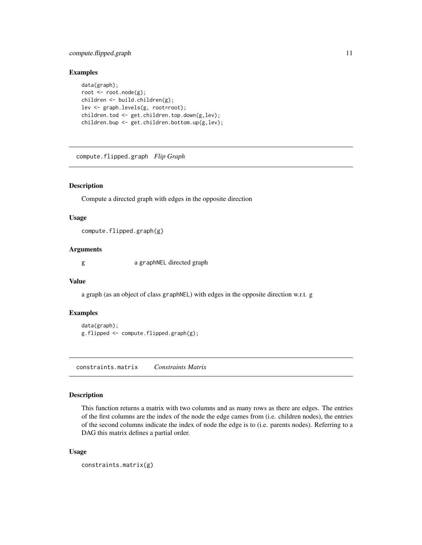# <span id="page-10-0"></span>compute.flipped.graph 11

# Examples

```
data(graph);
root <- root.node(g);
children <- build.children(g);
lev <- graph.levels(g, root=root);
children.tod <- get.children.top.down(g,lev);
children.bup <- get.children.bottom.up(g,lev);
```
compute.flipped.graph *Flip Graph*

# Description

Compute a directed graph with edges in the opposite direction

#### Usage

compute.flipped.graph(g)

# Arguments

g a graphNEL directed graph

#### Value

a graph (as an object of class graphNEL) with edges in the opposite direction w.r.t. g

#### Examples

```
data(graph);
g.flipped <- compute.flipped.graph(g);
```
constraints.matrix *Constraints Matrix*

#### Description

This function returns a matrix with two columns and as many rows as there are edges. The entries of the first columns are the index of the node the edge cames from (i.e. children nodes), the entries of the second columns indicate the index of node the edge is to (i.e. parents nodes). Referring to a DAG this matrix defines a partial order.

#### Usage

```
constraints.matrix(g)
```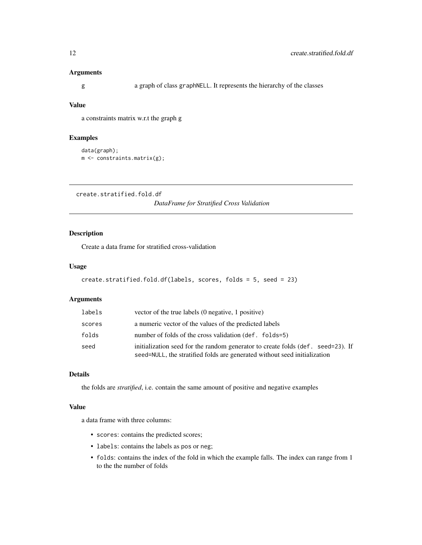# <span id="page-11-0"></span>Arguments

g a graph of class graphNELL. It represents the hierarchy of the classes

# Value

a constraints matrix w.r.t the graph g

# Examples

```
data(graph);
m <- constraints.matrix(g);
```
create.stratified.fold.df

*DataFrame for Stratified Cross Validation*

# Description

Create a data frame for stratified cross-validation

# Usage

```
create.stratified.fold.df(labels, scores, folds = 5, seed = 23)
```
# Arguments

| labels | vector of the true labels (0 negative, 1 positive)                                                                                                           |
|--------|--------------------------------------------------------------------------------------------------------------------------------------------------------------|
| scores | a numeric vector of the values of the predicted labels                                                                                                       |
| folds  | number of folds of the cross validation (def. folds=5)                                                                                                       |
| seed   | initialization seed for the random generator to create folds (def. seed=23). If<br>seed=NULL, the stratified folds are generated without seed initialization |

# Details

the folds are *stratified*, i.e. contain the same amount of positive and negative examples

# Value

a data frame with three columns:

- scores: contains the predicted scores;
- labels: contains the labels as pos or neg;
- folds: contains the index of the fold in which the example falls. The index can range from 1 to the the number of folds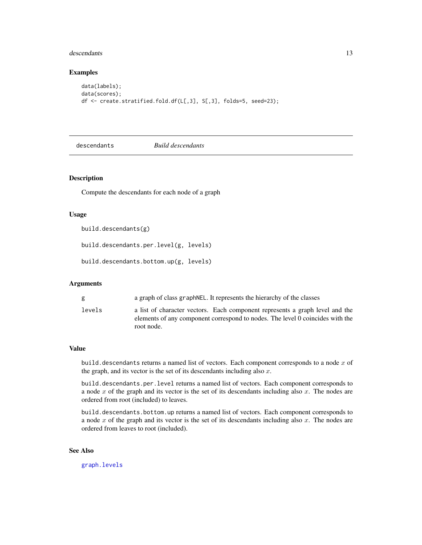#### <span id="page-12-0"></span>descendants and the set of the set of the set of the set of the set of the set of the set of the set of the set of the set of the set of the set of the set of the set of the set of the set of the set of the set of the set

# Examples

```
data(labels);
data(scores);
df <- create.stratified.fold.df(L[,3], S[,3], folds=5, seed=23);
```
descendants *Build descendants*

# Description

Compute the descendants for each node of a graph

#### Usage

build.descendants(g)

build.descendants.per.level(g, levels)

build.descendants.bottom.up(g, levels)

# Arguments

| g      | a graph of class graph NEL. It represents the hierarchy of the classes                                                                                                      |
|--------|-----------------------------------------------------------------------------------------------------------------------------------------------------------------------------|
| levels | a list of character vectors. Each component represents a graph level and the<br>elements of any component correspond to nodes. The level 0 coincides with the<br>root node. |

#### Value

build. descendants returns a named list of vectors. Each component corresponds to a node  $x$  of the graph, and its vector is the set of its descendants including also  $x$ .

build.descendants.per.level returns a named list of vectors. Each component corresponds to a node  $x$  of the graph and its vector is the set of its descendants including also  $x$ . The nodes are ordered from root (included) to leaves.

build.descendants.bottom.up returns a named list of vectors. Each component corresponds to a node  $x$  of the graph and its vector is the set of its descendants including also  $x$ . The nodes are ordered from leaves to root (included).

# See Also

[graph.levels](#page-41-1)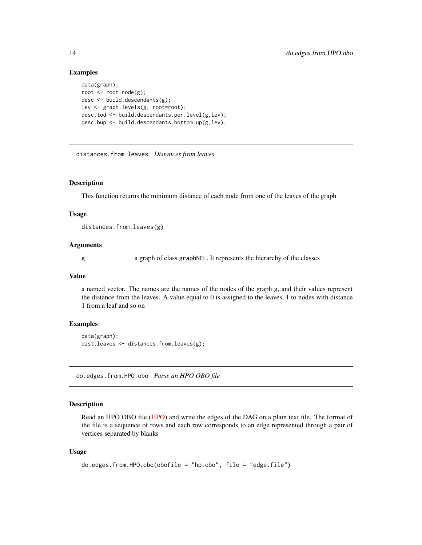## Examples

```
data(graph);
root <- root.node(g);
desc \le build.descendants(g);
lev <- graph.levels(g, root=root);
desc.tod <- build.descendants.per.level(g,lev);
desc.bup <- build.descendants.bottom.up(g,lev);
```
distances.from.leaves *Distances from leaves*

#### Description

This function returns the minimum distance of each node from one of the leaves of the graph

#### Usage

distances.from.leaves(g)

# Arguments

g a graph of class graphNEL. It represents the hierarchy of the classes

#### Value

a named vector. The names are the names of the nodes of the graph g, and their values represent the distance from the leaves. A value equal to 0 is assigned to the leaves, 1 to nodes with distance 1 from a leaf and so on

#### Examples

```
data(graph);
dist.leaves <- distances.from.leaves(g);
```
do.edges.from.HPO.obo *Parse an HPO OBO file*

# Description

Read an HPO OBO file [\(HPO\)](http://human-phenotype-ontology.github.io/) and write the edges of the DAG on a plain text file. The format of the file is a sequence of rows and each row corresponds to an edge represented through a pair of vertices separated by blanks

#### Usage

```
do.edges.from.HPO.obo(obofile = "hp.obo", file = "edge.file")
```
<span id="page-13-0"></span>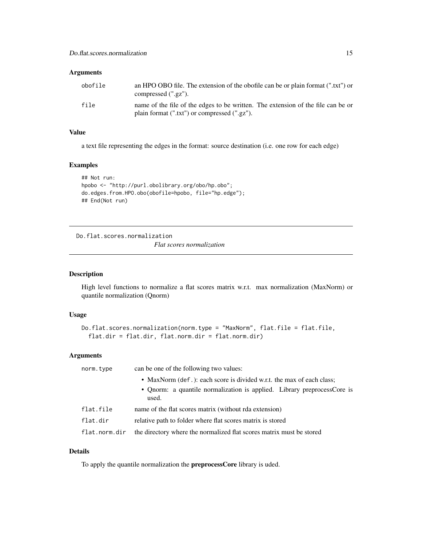# <span id="page-14-0"></span>Arguments

| obofile | an HPO OBO file. The extension of the obofile can be or plain format (".txt") or<br>compressed (".gz").                          |
|---------|----------------------------------------------------------------------------------------------------------------------------------|
| file    | name of the file of the edges to be written. The extension of the file can be or<br>plain format (".txt") or compressed (".gz"). |

# Value

a text file representing the edges in the format: source destination (i.e. one row for each edge)

#### Examples

```
## Not run:
hpobo <- "http://purl.obolibrary.org/obo/hp.obo";
do.edges.from.HPO.obo(obofile=hpobo, file="hp.edge");
## End(Not run)
```
Do.flat.scores.normalization

*Flat scores normalization*

# Description

High level functions to normalize a flat scores matrix w.r.t. max normalization (MaxNorm) or quantile normalization (Qnorm)

# Usage

```
Do.flat.scores.normalization(norm.type = "MaxNorm", flat.file = flat.file,
  flat.dir = flat.dir, flat.norm.dir = flat.norm.dir)
```
# Arguments

| norm.type     | can be one of the following two values:                                          |
|---------------|----------------------------------------------------------------------------------|
|               | • MaxNorm (def.): each score is divided w.r.t. the max of each class;            |
|               | • Qnorm: a quantile normalization is applied. Library preprocessCore is<br>used. |
| flat.file     | name of the flat scores matrix (without rda extension)                           |
| flat.dir      | relative path to folder where flat scores matrix is stored                       |
| flat.norm.dir | the directory where the normalized flat scores matrix must be stored             |

# Details

To apply the quantile normalization the preprocessCore library is uded.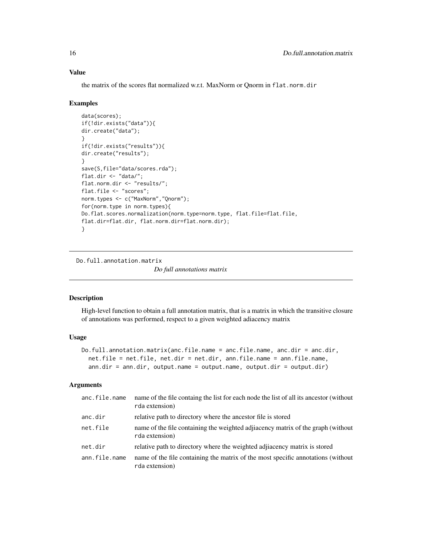# Value

the matrix of the scores flat normalized w.r.t. MaxNorm or Qnorm in flat.norm.dir

#### Examples

```
data(scores);
if(!dir.exists("data")){
dir.create("data");
}
if(!dir.exists("results")){
dir.create("results");
}
save(S,file="data/scores.rda");
flat.dir <- "data/";
flat.norm.dir <- "results/";
flat.file <- "scores";
norm.types <- c("MaxNorm","Qnorm");
for(norm.type in norm.types){
Do.flat.scores.normalization(norm.type=norm.type, flat.file=flat.file,
flat.dir=flat.dir, flat.norm.dir=flat.norm.dir);
}
```
Do.full.annotation.matrix *Do full annotations matrix*

#### Description

High-level function to obtain a full annotation matrix, that is a matrix in which the transitive closure of annotations was performed, respect to a given weighted adiacency matrix

#### Usage

```
Do.full.annotation.matrix(anc.file.name = anc.file.name, anc.dir = anc.dir,
 net.file = net.file, net.dir = net.dir, ann.file.name = ann.file.name,
  ann.dir = ann.dir, output.name = output.name, output.dir = output.dir)
```

| anc.file.name | name of the file containg the list for each node the list of all its ancestor (without<br>rda extension) |
|---------------|----------------------------------------------------------------------------------------------------------|
| anc.dir       | relative path to directory where the ancestor file is stored                                             |
| net.file      | name of the file containing the weighted adjiacency matrix of the graph (without<br>rda extension)       |
| net.dir       | relative path to directory where the weighted adjacency matrix is stored                                 |
| ann.file.name | name of the file containing the matrix of the most specific annotations (without<br>rda extension)       |

<span id="page-15-0"></span>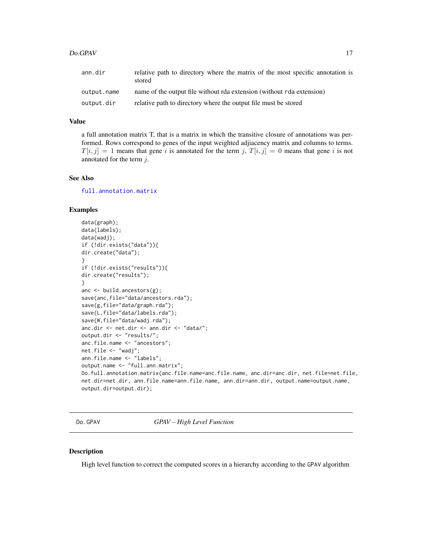<span id="page-16-0"></span>

| ann.dir     | relative path to directory where the matrix of the most specific annotation is<br>stored |
|-------------|------------------------------------------------------------------------------------------|
| output.name | name of the output file without rda extension (without rda extension)                    |
| output.dir  | relative path to directory where the output file must be stored                          |

# Value

a full annotation matrix T, that is a matrix in which the transitive closure of annotations was performed. Rows correspond to genes of the input weighted adjiacency matrix and columns to terms.  $T[i, j] = 1$  means that gene i is annotated for the term j,  $T[i, j] = 0$  means that gene i is not annotated for the term  $j$ .

#### See Also

[full.annotation.matrix](#page-38-1)

#### Examples

```
data(graph);
data(labels);
data(wadj);
if (!dir.exists("data")){
dir.create("data");
}
if (!dir.exists("results")){
dir.create("results");
}
anc <- build.ancestors(g);
save(anc,file="data/ancestors.rda");
save(g,file="data/graph.rda");
save(L,file="data/labels.rda");
save(W,file="data/wadj.rda");
anc.dir <- net.dir <- ann.dir <- "data/";
output.dir <- "results/";
anc.file.name <- "ancestors";
net.file <- "wadj";
ann.file.name <- "labels";
output.name <- "full.ann.matrix";
Do.full.annotation.matrix(anc.file.name=anc.file.name, anc.dir=anc.dir, net.file=net.file,
net.dir=net.dir, ann.file.name=ann.file.name, ann.dir=ann.dir, output.name=output.name,
output.dir=output.dir);
```
Do.GPAV *GPAV – High Level Function*

#### Description

High level function to correct the computed scores in a hierarchy according to the GPAV algorithm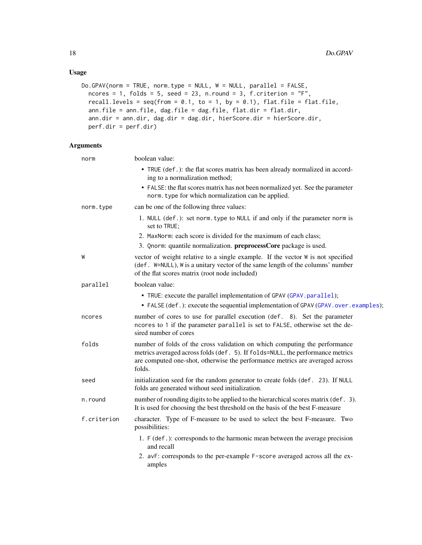# Usage

```
Do.GPAV(norm = TRUE, norm.type = NULL, W = NULL, parallel = FALSE,
 ncores = 1, folds = 5, seed = 23, n.round = 3, f.criterion = "F",recall.levels = seq(from = 0.1, to = 1, by = 0.1), flat.file = flat.file,
 ann.file = ann.file, dag.file = dag.file, flat.dir = flat.dir,
 ann.dir = ann.dir, dag.dir = dag.dir, hierScore.dir = hierScore.dir,
 perf.dir = perf.dir)
```

| norm        | boolean value:                                                                                                                                                                                                                                         |
|-------------|--------------------------------------------------------------------------------------------------------------------------------------------------------------------------------------------------------------------------------------------------------|
|             | • TRUE (def.): the flat scores matrix has been already normalized in accord-<br>ing to a normalization method;                                                                                                                                         |
|             | • FALSE: the flat scores matrix has not been normalized yet. See the parameter<br>norm. type for which normalization can be applied.                                                                                                                   |
| norm.type   | can be one of the following three values:                                                                                                                                                                                                              |
|             | 1. NULL (def.): set norm. type to NULL if and only if the parameter norm is<br>set to TRUE;                                                                                                                                                            |
|             | 2. MaxNorm: each score is divided for the maximum of each class;                                                                                                                                                                                       |
|             | 3. Qnorm: quantile normalization. preprocessCore package is used.                                                                                                                                                                                      |
| W           | vector of weight relative to a single example. If the vector W is not specified<br>(def. W=NULL), W is a unitary vector of the same length of the columns' number<br>of the flat scores matrix (root node included)                                    |
| parallel    | boolean value:                                                                                                                                                                                                                                         |
|             | • TRUE: execute the parallel implementation of GPAV (GPAV.parallel);<br>• FALSE (def.): execute the sequential implementation of GPAV (GPAV.over.examples);                                                                                            |
| ncores      | number of cores to use for parallel execution (def. 8). Set the parameter<br>ncores to 1 if the parameter parallel is set to FALSE, otherwise set the de-<br>sired number of cores                                                                     |
| folds       | number of folds of the cross validation on which computing the performance<br>metrics averaged across folds (def. 5). If folds=NULL, the performance metrics<br>are computed one-shot, otherwise the performance metrics are averaged across<br>folds. |
| seed        | initialization seed for the random generator to create folds (def. 23). If NULL<br>folds are generated without seed initialization.                                                                                                                    |
| n.round     | number of rounding digits to be applied to the hierarchical scores matrix (def. 3).<br>It is used for choosing the best threshold on the basis of the best F-measure                                                                                   |
| f.criterion | character. Type of F-measure to be used to select the best F-measure. Two<br>possibilities:                                                                                                                                                            |
|             | 1. F (def.): corresponds to the harmonic mean between the average precision<br>and recall                                                                                                                                                              |
|             | 2. avF: corresponds to the per-example F-score averaged across all the ex-<br>amples                                                                                                                                                                   |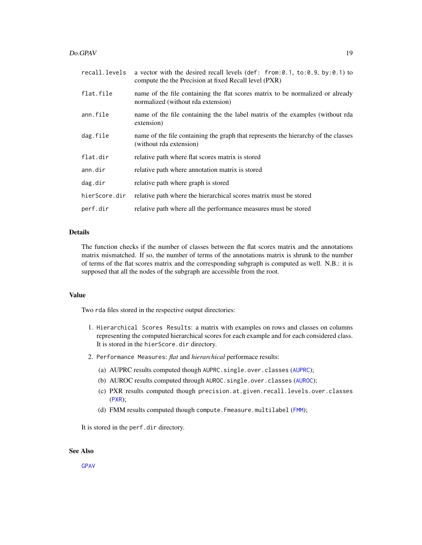#### $Do.GPAV$  19

| recall.levels | a vector with the desired recall levels (def: from: $0.1$ , to: $0.9$ , by: $0.1$ ) to<br>compute the the Precision at fixed Recall level (PXR) |
|---------------|-------------------------------------------------------------------------------------------------------------------------------------------------|
| flat.file     | name of the file containing the flat scores matrix to be normalized or already<br>normalized (without rda extension)                            |
| ann.file      | name of the file containing the the label matrix of the examples (without rda<br>extension)                                                     |
| dag.file      | name of the file containing the graph that represents the hierarchy of the classes<br>(without rda extension)                                   |
| flat.dir      | relative path where flat scores matrix is stored                                                                                                |
| ann.dir       | relative path where annotation matrix is stored                                                                                                 |
| dag.dir       | relative path where graph is stored                                                                                                             |
| hierScore.dir | relative path where the hierarchical scores matrix must be stored                                                                               |
| perf.dir      | relative path where all the performance measures must be stored                                                                                 |

# Details

The function checks if the number of classes between the flat scores matrix and the annotations matrix mismatched. If so, the number of terms of the annotations matrix is shrunk to the number of terms of the flat scores matrix and the corresponding subgraph is computed as well. N.B.: it is supposed that all the nodes of the subgraph are accessible from the root.

# Value

Two rda files stored in the respective output directories:

- 1. Hierarchical Scores Results: a matrix with examples on rows and classes on columns representing the computed hierarchical scores for each example and for each considered class. It is stored in the hierScore.dir directory.
- 2. Performance Measures: *flat* and *hierarchical* performace results:
	- (a) [AUPRC](#page-5-1) results computed though AUPRC.single.over.classes (AUPRC);
	- (b) [AUROC](#page-6-1) results computed through AUROC.single.over.classes (AUROC);
	- (c) PXR results computed though precision.at.given.recall.levels.over.classes ([PXR](#page-50-1));
	- (d) [FMM](#page-36-1) results computed though compute. Fmeasure.multilabel (FMM);

It is stored in the perf.dir directory.

# See Also

[GPAV](#page-39-1)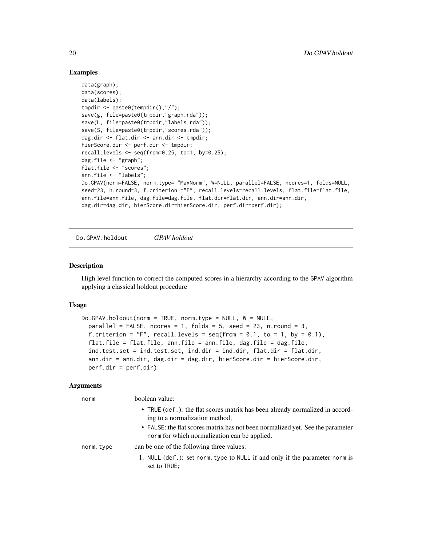# Examples

```
data(graph);
data(scores);
data(labels);
tmpdir <- paste0(tempdir(),"/");
save(g, file=paste0(tmpdir,"graph.rda"));
save(L, file=paste0(tmpdir,"labels.rda"));
save(S, file=paste0(tmpdir,"scores.rda"));
dag.dir <- flat.dir <- ann.dir <- tmpdir;
hierScore.dir <- perf.dir <- tmpdir;
recall.levels \leq seq(from=0.25, to=1, by=0.25);
dag.file <- "graph";
flat.file <- "scores";
ann.file <- "labels";
Do.GPAV(norm=FALSE, norm.type= "MaxNorm", W=NULL, parallel=FALSE, ncores=1, folds=NULL,
seed=23, n.round=3, f.criterion ="F", recall.levels=recall.levels, flat.file=flat.file,
ann.file=ann.file, dag.file=dag.file, flat.dir=flat.dir, ann.dir=ann.dir,
dag.dir=dag.dir, hierScore.dir=hierScore.dir, perf.dir=perf.dir);
```
Do.GPAV.holdout *GPAV holdout*

# Description

High level function to correct the computed scores in a hierarchy according to the GPAV algorithm applying a classical holdout procedure

#### Usage

```
Do.GPAV.holdout(norm = TRUE, norm.type = NULL, W = NULL,
 parallel = FALSE, ncores = 1, folds = 5, seed = 23, n.round = 3,
  f.criterion = "F", recall.levels = seq(from = 0.1, to = 1, by = 0.1),
  flat.file = flat.file, ann.file = ann.file, dag.file = dag.file,
  ind.test.set = ind.test.set, ind.dir = ind.dir, flat.dir = flat.dir,
  ann.dir = ann.dir, dag.dir = dag.dir, hierScore.dir = hierScore.dir,
 perf.dir = perf.dir)
```

| norm      | boolean value:                                                                                                                 |
|-----------|--------------------------------------------------------------------------------------------------------------------------------|
|           | • TRUE (def.): the flat scores matrix has been already normalized in accord-<br>ing to a normalization method;                 |
|           | • FALSE: the flat scores matrix has not been normalized yet. See the parameter<br>norm for which normalization can be applied. |
| norm.type | can be one of the following three values:                                                                                      |
|           | 1. NULL (def.): set norm. type to NULL if and only if the parameter norm is<br>set to TRUE;                                    |

<span id="page-19-0"></span>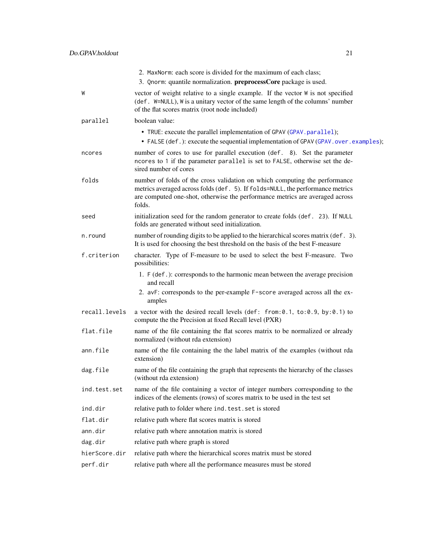|               | 2. MaxNorm: each score is divided for the maximum of each class;<br>3. Qnorm: quantile normalization. preprocessCore package is used.                                                                                                                  |
|---------------|--------------------------------------------------------------------------------------------------------------------------------------------------------------------------------------------------------------------------------------------------------|
| W             | vector of weight relative to a single example. If the vector W is not specified<br>(def. W=NULL), W is a unitary vector of the same length of the columns' number<br>of the flat scores matrix (root node included)                                    |
| parallel      | boolean value:                                                                                                                                                                                                                                         |
|               | • TRUE: execute the parallel implementation of GPAV (GPAV. parallel);<br>• FALSE (def.): execute the sequential implementation of GPAV (GPAV.over.examples);                                                                                           |
| ncores        | number of cores to use for parallel execution (def. 8). Set the parameter<br>ncores to 1 if the parameter parallel is set to FALSE, otherwise set the de-<br>sired number of cores                                                                     |
| folds         | number of folds of the cross validation on which computing the performance<br>metrics averaged across folds (def. 5). If folds=NULL, the performance metrics<br>are computed one-shot, otherwise the performance metrics are averaged across<br>folds. |
| seed          | initialization seed for the random generator to create folds (def. 23). If NULL<br>folds are generated without seed initialization.                                                                                                                    |
| n.round       | number of rounding digits to be applied to the hierarchical scores matrix (def. 3).<br>It is used for choosing the best threshold on the basis of the best F-measure                                                                                   |
| f.criterion   | character. Type of F-measure to be used to select the best F-measure. Two<br>possibilities:                                                                                                                                                            |
|               | 1. F (def.): corresponds to the harmonic mean between the average precision<br>and recall                                                                                                                                                              |
|               | 2. avF: corresponds to the per-example F-score averaged across all the ex-<br>amples                                                                                                                                                                   |
| recall.levels | a vector with the desired recall levels (def: from: 0.1, to: 0.9, by: 0.1) to<br>compute the the Precision at fixed Recall level (PXR)                                                                                                                 |
| flat.file     | name of the file containing the flat scores matrix to be normalized or already<br>normalized (without rda extension)                                                                                                                                   |
| ann.file      | name of the file containing the the label matrix of the examples (without rda<br>extension)                                                                                                                                                            |
| dag.file      | name of the file containing the graph that represents the hierarchy of the classes<br>(without rda extension)                                                                                                                                          |
| ind.test.set  | name of the file containing a vector of integer numbers corresponding to the<br>indices of the elements (rows) of scores matrix to be used in the test set                                                                                             |
| ind.dir       | relative path to folder where ind. test. set is stored                                                                                                                                                                                                 |
| flat.dir      | relative path where flat scores matrix is stored                                                                                                                                                                                                       |
| ann.dir       | relative path where annotation matrix is stored                                                                                                                                                                                                        |
| dag.dir       | relative path where graph is stored                                                                                                                                                                                                                    |
| hierScore.dir | relative path where the hierarchical scores matrix must be stored                                                                                                                                                                                      |
| perf.dir      | relative path where all the performance measures must be stored                                                                                                                                                                                        |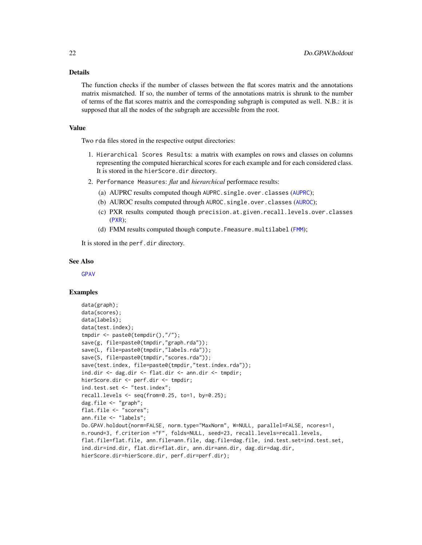#### Details

The function checks if the number of classes between the flat scores matrix and the annotations matrix mismatched. If so, the number of terms of the annotations matrix is shrunk to the number of terms of the flat scores matrix and the corresponding subgraph is computed as well. N.B.: it is supposed that all the nodes of the subgraph are accessible from the root.

#### Value

Two rda files stored in the respective output directories:

- 1. Hierarchical Scores Results: a matrix with examples on rows and classes on columns representing the computed hierarchical scores for each example and for each considered class. It is stored in the hierScore.dir directory.
- 2. Performance Measures: *flat* and *hierarchical* performace results:
	- (a) [AUPRC](#page-5-1) results computed though AUPRC.single.over.classes (AUPRC);
	- (b) [AUROC](#page-6-1) results computed through AUROC.single.over.classes (AUROC);
	- (c) PXR results computed though precision.at.given.recall.levels.over.classes ([PXR](#page-50-1));
	- (d) [FMM](#page-36-1) results computed though compute. Fmeasure.multilabel (FMM);

It is stored in the perf.dir directory.

#### See Also

[GPAV](#page-39-1)

#### Examples

```
data(graph);
data(scores);
data(labels);
data(test.index);
tmpdir <- paste0(tempdir(),"/");
save(g, file=paste0(tmpdir,"graph.rda"));
save(L, file=paste0(tmpdir,"labels.rda"));
save(S, file=paste0(tmpdir,"scores.rda"));
save(test.index, file=paste0(tmpdir,"test.index.rda"));
ind.dir <- dag.dir <- flat.dir <- ann.dir <- tmpdir;
hierScore.dir <- perf.dir <- tmpdir;
ind.test.set <- "test.index";
recall. levels < -seq(from=0.25, to=1, by=0.25);dag.file <- "graph";
flat.file <- "scores";
ann.file <- "labels";
Do.GPAV.holdout(norm=FALSE, norm.type="MaxNorm", W=NULL, parallel=FALSE, ncores=1,
n.round=3, f.criterion ="F", folds=NULL, seed=23, recall.levels=recall.levels,
flat.file=flat.file, ann.file=ann.file, dag.file=dag.file, ind.test.set=ind.test.set,
ind.dir=ind.dir, flat.dir=flat.dir, ann.dir=ann.dir, dag.dir=dag.dir,
hierScore.dir=hierScore.dir, perf.dir=perf.dir);
```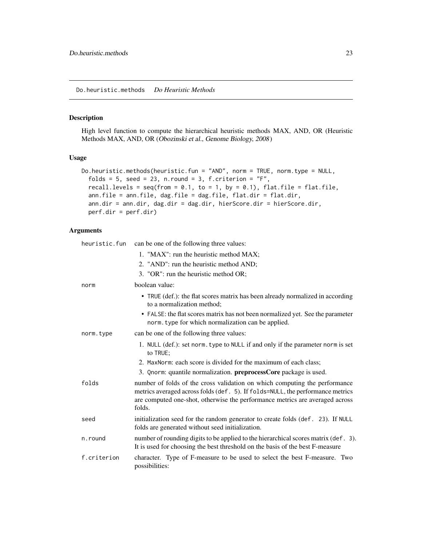#### <span id="page-22-0"></span>Description

High level function to compute the hierarchical heuristic methods MAX, AND, OR (Heuristic Methods MAX, AND, OR (Obozinski et al., Genome Biology, 2008)

#### Usage

```
Do.heuristic.methods(heuristic.fun = "AND", norm = TRUE, norm.type = NULL,
  folds = 5, seed = 23, n.round = 3, f.criterion = "F",recall.levels = seq(from = 0.1, to = 1, by = 0.1), flat.file = flat.file,
  ann.file = ann.file, dag.file = dag.file, flat.dir = flat.dir,
  ann.dir = ann.dir, dag.dir = dag.dir, hierScore.dir = hierScore.dir,
 perf.dir = perf.dir)
```

| heuristic.fun | can be one of the following three values:                                                                                                                                                                                                              |
|---------------|--------------------------------------------------------------------------------------------------------------------------------------------------------------------------------------------------------------------------------------------------------|
|               | 1. "MAX": run the heuristic method MAX;                                                                                                                                                                                                                |
|               | 2. "AND": run the heuristic method AND;                                                                                                                                                                                                                |
|               | 3. "OR": run the heuristic method OR;                                                                                                                                                                                                                  |
| norm          | boolean value:                                                                                                                                                                                                                                         |
|               | • TRUE (def.): the flat scores matrix has been already normalized in according<br>to a normalization method;                                                                                                                                           |
|               | • FALSE: the flat scores matrix has not been normalized yet. See the parameter<br>norm. type for which normalization can be applied.                                                                                                                   |
| norm.type     | can be one of the following three values:                                                                                                                                                                                                              |
|               | 1. NULL (def.): set norm. type to NULL if and only if the parameter norm is set<br>to TRUE;                                                                                                                                                            |
|               | 2. MaxNorm: each score is divided for the maximum of each class;                                                                                                                                                                                       |
|               | 3. Qnorm: quantile normalization. preprocessCore package is used.                                                                                                                                                                                      |
| folds         | number of folds of the cross validation on which computing the performance<br>metrics averaged across folds (def. 5). If folds=NULL, the performance metrics<br>are computed one-shot, otherwise the performance metrics are averaged across<br>folds. |
| seed          | initialization seed for the random generator to create folds (def. 23). If NULL<br>folds are generated without seed initialization.                                                                                                                    |
| n.round       | number of rounding digits to be applied to the hierarchical scores matrix (def. 3).<br>It is used for choosing the best threshold on the basis of the best F-measure                                                                                   |
| f.criterion   | character. Type of F-measure to be used to select the best F-measure. Two<br>possibilities:                                                                                                                                                            |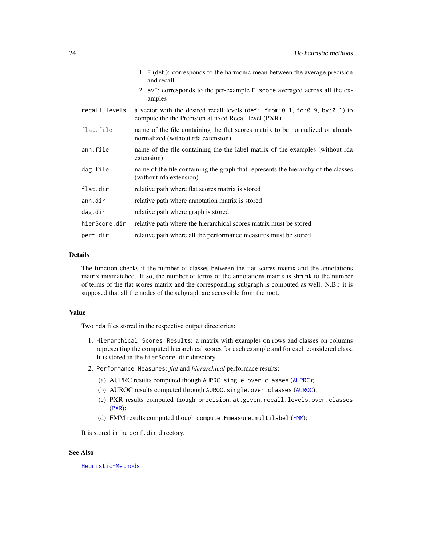|               | 1. F (def.): corresponds to the harmonic mean between the average precision<br>and recall                                              |
|---------------|----------------------------------------------------------------------------------------------------------------------------------------|
|               | 2. avF: corresponds to the per-example F-score averaged across all the ex-<br>amples                                                   |
| recall.levels | a vector with the desired recall levels (def: from: 0.1, to: 0.9, by: 0.1) to<br>compute the the Precision at fixed Recall level (PXR) |
| flat.file     | name of the file containing the flat scores matrix to be normalized or already<br>normalized (without rda extension)                   |
| ann.file      | name of the file containing the the label matrix of the examples (without rda<br>extension)                                            |
| dag.file      | name of the file containing the graph that represents the hierarchy of the classes<br>(without rda extension)                          |
| flat.dir      | relative path where flat scores matrix is stored                                                                                       |
| ann.dir       | relative path where annotation matrix is stored                                                                                        |
| dag.dir       | relative path where graph is stored                                                                                                    |
| hierScore.dir | relative path where the hierarchical scores matrix must be stored                                                                      |
| perf.dir      | relative path where all the performance measures must be stored                                                                        |

#### Details

The function checks if the number of classes between the flat scores matrix and the annotations matrix mismatched. If so, the number of terms of the annotations matrix is shrunk to the number of terms of the flat scores matrix and the corresponding subgraph is computed as well. N.B.: it is supposed that all the nodes of the subgraph are accessible from the root.

#### Value

Two rda files stored in the respective output directories:

- 1. Hierarchical Scores Results: a matrix with examples on rows and classes on columns representing the computed hierarchical scores for each example and for each considered class. It is stored in the hierScore.dir directory.
- 2. Performance Measures: *flat* and *hierarchical* performace results:
	- (a) [AUPRC](#page-5-1) results computed though AUPRC.single.over.classes (AUPRC);
	- (b) [AUROC](#page-6-1) results computed through AUROC.single.over.classes (AUROC);
	- (c) PXR results computed though precision.at.given.recall.levels.over.classes ([PXR](#page-50-1));
	- (d) [FMM](#page-36-1) results computed though compute. Fmeasure.multilabel (FMM);

It is stored in the perf.dir directory.

#### See Also

[Heuristic-Methods](#page-44-1)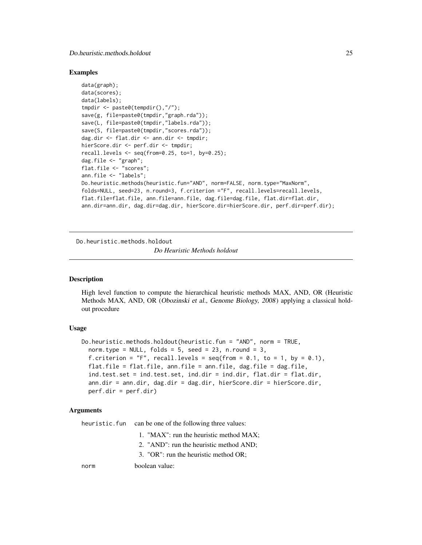#### <span id="page-24-0"></span>Do.heuristic.methods.holdout 25

#### Examples

```
data(graph);
data(scores);
data(labels);
tmpdir <- paste0(tempdir(),"/");
save(g, file=paste0(tmpdir,"graph.rda"));
save(L, file=paste0(tmpdir,"labels.rda"));
save(S, file=paste0(tmpdir,"scores.rda"));
dag.dir <- flat.dir <- ann.dir <- tmpdir;
hierScore.dir <- perf.dir <- tmpdir;
recall. levels \leftarrow seq(from=0.25, to=1, by=0.25);dag.file <- "graph";
flat.file <- "scores";
ann.file <- "labels";
Do.heuristic.methods(heuristic.fun="AND", norm=FALSE, norm.type="MaxNorm",
folds=NULL, seed=23, n.round=3, f.criterion ="F", recall.levels=recall.levels,
flat.file=flat.file, ann.file=ann.file, dag.file=dag.file, flat.dir=flat.dir,
ann.dir=ann.dir, dag.dir=dag.dir, hierScore.dir=hierScore.dir, perf.dir=perf.dir);
```
Do.heuristic.methods.holdout

*Do Heuristic Methods holdout*

#### Description

High level function to compute the hierarchical heuristic methods MAX, AND, OR (Heuristic Methods MAX, AND, OR (Obozinski et al., Genome Biology, 2008) applying a classical holdout procedure

#### Usage

```
Do.heuristic.methods.holdout(heuristic.fun = "AND", norm = TRUE,
  norm.type = NULL, folds = 5, seed = 23, n.round = 3,
  f.criterion = "F", recall.levels = seq(from = 0.1, to = 1, by = 0.1),
  flat.file = flat.file, ann.file = ann.file, dag.file = dag.file,
  ind.test.set = ind.test.set, ind.dir = ind.dir, flat.dir = flat.dir,
  ann.dir = ann.dir, dag.dir = dag.dir, hierScore.dir = hierScore.dir,
 perf.dir = perf.dir)
```
#### Arguments

heuristic.fun can be one of the following three values:

- 1. "MAX": run the heuristic method MAX;
- 2. "AND": run the heuristic method AND;
- 3. "OR": run the heuristic method OR;

norm boolean value: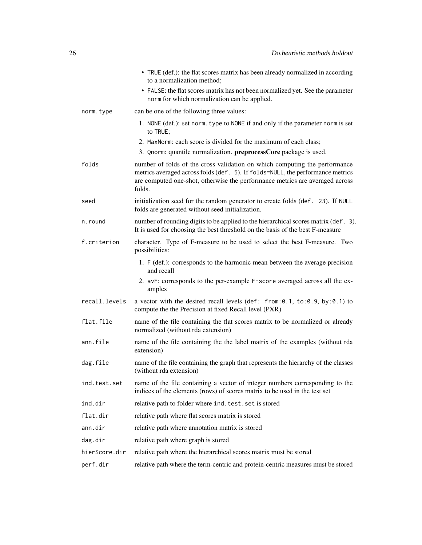|               | • TRUE (def.): the flat scores matrix has been already normalized in according<br>to a normalization method;                                                                                                                                           |
|---------------|--------------------------------------------------------------------------------------------------------------------------------------------------------------------------------------------------------------------------------------------------------|
|               | • FALSE: the flat scores matrix has not been normalized yet. See the parameter<br>norm for which normalization can be applied.                                                                                                                         |
| norm.type     | can be one of the following three values:                                                                                                                                                                                                              |
|               | 1. NONE (def.): set norm. type to NONE if and only if the parameter norm is set<br>to TRUE;                                                                                                                                                            |
|               | 2. MaxNorm: each score is divided for the maximum of each class;                                                                                                                                                                                       |
|               | 3. Qnorm: quantile normalization. <b>preprocessCore</b> package is used.                                                                                                                                                                               |
| folds         | number of folds of the cross validation on which computing the performance<br>metrics averaged across folds (def. 5). If folds=NULL, the performance metrics<br>are computed one-shot, otherwise the performance metrics are averaged across<br>folds. |
| seed          | initialization seed for the random generator to create folds (def. 23). If NULL<br>folds are generated without seed initialization.                                                                                                                    |
| n.round       | number of rounding digits to be applied to the hierarchical scores matrix (def. 3).<br>It is used for choosing the best threshold on the basis of the best F-measure                                                                                   |
| f.criterion   | character. Type of F-measure to be used to select the best F-measure. Two<br>possibilities:                                                                                                                                                            |
|               | 1. F (def.): corresponds to the harmonic mean between the average precision<br>and recall                                                                                                                                                              |
|               | 2. avF: corresponds to the per-example F-score averaged across all the ex-<br>amples                                                                                                                                                                   |
| recall.levels | a vector with the desired recall levels (def: from: 0.1, to: 0.9, by: 0.1) to<br>compute the the Precision at fixed Recall level (PXR)                                                                                                                 |
| flat.file     | name of the file containing the flat scores matrix to be normalized or already<br>normalized (without rda extension)                                                                                                                                   |
| ann.file      | name of the file containing the the label matrix of the examples (without rda<br>extension)                                                                                                                                                            |
| dag.file      | name of the file containing the graph that represents the hierarchy of the classes<br>(without rda extension)                                                                                                                                          |
| ind.test.set  | name of the file containing a vector of integer numbers corresponding to the<br>indices of the elements (rows) of scores matrix to be used in the test set                                                                                             |
| ind.dir       | relative path to folder where ind. test. set is stored                                                                                                                                                                                                 |
| flat.dir      | relative path where flat scores matrix is stored                                                                                                                                                                                                       |
| ann.dir       | relative path where annotation matrix is stored                                                                                                                                                                                                        |
| dag.dir       | relative path where graph is stored                                                                                                                                                                                                                    |
| hierScore.dir | relative path where the hierarchical scores matrix must be stored                                                                                                                                                                                      |
| perf.dir      | relative path where the term-centric and protein-centric measures must be stored                                                                                                                                                                       |
|               |                                                                                                                                                                                                                                                        |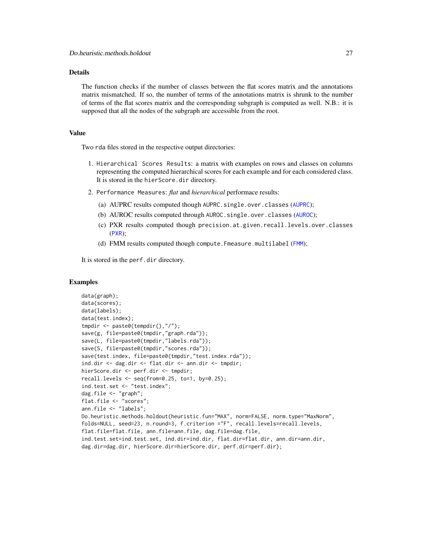# **Details**

The function checks if the number of classes between the flat scores matrix and the annotations matrix mismatched. If so, the number of terms of the annotations matrix is shrunk to the number of terms of the flat scores matrix and the corresponding subgraph is computed as well. N.B.: it is supposed that all the nodes of the subgraph are accessible from the root.

# Value

Two rda files stored in the respective output directories:

- 1. Hierarchical Scores Results: a matrix with examples on rows and classes on columns representing the computed hierarchical scores for each example and for each considered class. It is stored in the hierScore.dir directory.
- 2. Performance Measures: *flat* and *hierarchical* performace results:
	- (a) AUPRC results computed though AUPRC.single.over.classes ([AUPRC](#page-5-1));
	- (b) [AUROC](#page-6-1) results computed through AUROC.single.over.classes (AUROC);
	- (c) PXR results computed though precision.at.given.recall.levels.over.classes ([PXR](#page-50-1));
	- (d) [FMM](#page-36-1) results computed though compute. Fmeasure.multilabel (FMM);

It is stored in the perf.dir directory.

#### Examples

```
data(graph);
data(scores);
data(labels);
data(test.index);
tmpdir <- paste0(tempdir(),"/");
save(g, file=paste0(tmpdir,"graph.rda"));
save(L, file=paste0(tmpdir,"labels.rda"));
save(S, file=paste0(tmpdir,"scores.rda"));
save(test.index, file=paste0(tmpdir,"test.index.rda"));
ind.dir <- dag.dir <- flat.dir <- ann.dir <- tmpdir;
hierScore.dir <- perf.dir <- tmpdir;
recall.levels <- seq(from=0.25, to=1, by=0.25);
ind.test.set <- "test.index";
dag.file <- "graph";
flat.file <- "scores";
ann.file <- "labels";
Do.heuristic.methods.holdout(heuristic.fun="MAX", norm=FALSE, norm.type="MaxNorm",
folds=NULL, seed=23, n.round=3, f.criterion ="F", recall.levels=recall.levels,
flat.file=flat.file, ann.file=ann.file, dag.file=dag.file,
ind.test.set=ind.test.set, ind.dir=ind.dir, flat.dir=flat.dir, ann.dir=ann.dir,
dag.dir=dag.dir, hierScore.dir=hierScore.dir, perf.dir=perf.dir);
```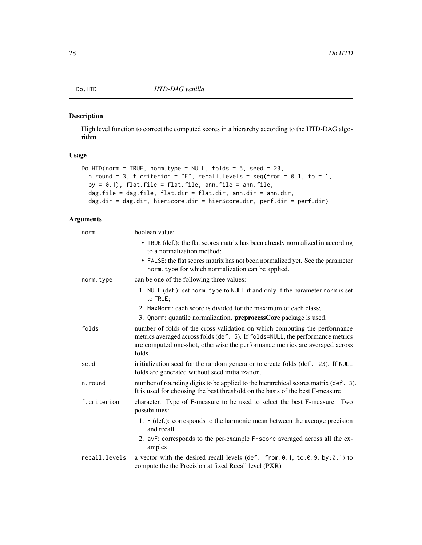<span id="page-27-0"></span>

#### Description

High level function to correct the computed scores in a hierarchy according to the HTD-DAG algorithm

# Usage

```
Do.HTD(norm = TRUE, norm.type = NULL, folds = 5, seed = 23,
 n.round = 3, f.criterion = "F", recall.levels = seq(from = 0.1, to = 1,by = 0.1), flat.file = flat.file, ann.file = ann.file,
 dag.file = dag.file, flat.dir = flat.dir, ann.dir = ann.dir,
  dag.dir = dag.dir, hierScore.dir = hierScore.dir, perf.dir = perf.dir)
```

| norm          | boolean value:                                                                                                                                                                                                                                         |
|---------------|--------------------------------------------------------------------------------------------------------------------------------------------------------------------------------------------------------------------------------------------------------|
|               | • TRUE (def.): the flat scores matrix has been already normalized in according<br>to a normalization method;                                                                                                                                           |
|               | • FALSE: the flat scores matrix has not been normalized yet. See the parameter<br>norm. type for which normalization can be applied.                                                                                                                   |
| norm.type     | can be one of the following three values:                                                                                                                                                                                                              |
|               | 1. NULL (def.): set norm. type to NULL if and only if the parameter norm is set<br>to TRUE:                                                                                                                                                            |
|               | 2. MaxNorm: each score is divided for the maximum of each class;                                                                                                                                                                                       |
|               | 3. Qnorm: quantile normalization. preprocessCore package is used.                                                                                                                                                                                      |
| folds         | number of folds of the cross validation on which computing the performance<br>metrics averaged across folds (def. 5). If folds=NULL, the performance metrics<br>are computed one-shot, otherwise the performance metrics are averaged across<br>folds. |
| seed          | initialization seed for the random generator to create folds (def. 23). If NULL<br>folds are generated without seed initialization.                                                                                                                    |
| n.round       | number of rounding digits to be applied to the hierarchical scores matrix (def. 3).<br>It is used for choosing the best threshold on the basis of the best F-measure                                                                                   |
| f.criterion   | character. Type of F-measure to be used to select the best F-measure. Two<br>possibilities:                                                                                                                                                            |
|               | 1. F (def.): corresponds to the harmonic mean between the average precision<br>and recall                                                                                                                                                              |
|               | 2. avF: corresponds to the per-example F-score averaged across all the ex-<br>amples                                                                                                                                                                   |
| recall.levels | a vector with the desired recall levels (def: from: 0.1, to: 0.9, by: 0.1) to<br>compute the the Precision at fixed Recall level (PXR)                                                                                                                 |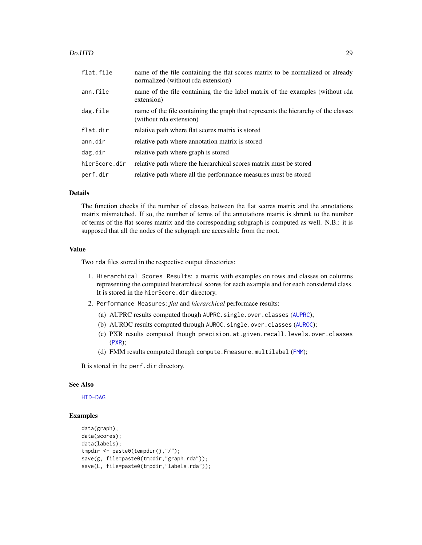#### Do.HTD 29

| flat.file     | name of the file containing the flat scores matrix to be normalized or already<br>normalized (without rda extension) |
|---------------|----------------------------------------------------------------------------------------------------------------------|
| ann.file      | name of the file containing the the label matrix of the examples (without rda<br>extension)                          |
| dag.file      | name of the file containing the graph that represents the hierarchy of the classes<br>(without rda extension)        |
| flat.dir      | relative path where flat scores matrix is stored                                                                     |
| ann.dir       | relative path where annotation matrix is stored                                                                      |
| dag.dir       | relative path where graph is stored                                                                                  |
| hierScore.dir | relative path where the hierarchical scores matrix must be stored                                                    |
| perf.dir      | relative path where all the performance measures must be stored                                                      |

# Details

The function checks if the number of classes between the flat scores matrix and the annotations matrix mismatched. If so, the number of terms of the annotations matrix is shrunk to the number of terms of the flat scores matrix and the corresponding subgraph is computed as well. N.B.: it is supposed that all the nodes of the subgraph are accessible from the root.

# Value

Two rda files stored in the respective output directories:

- 1. Hierarchical Scores Results: a matrix with examples on rows and classes on columns representing the computed hierarchical scores for each example and for each considered class. It is stored in the hierScore.dir directory.
- 2. Performance Measures: *flat* and *hierarchical* performace results:
	- (a) [AUPRC](#page-5-1) results computed though AUPRC.single.over.classes (AUPRC);
	- (b) [AUROC](#page-6-1) results computed through AUROC.single.over.classes (AUROC);
	- (c) PXR results computed though precision.at.given.recall.levels.over.classes ([PXR](#page-50-1));
	- (d) [FMM](#page-36-1) results computed though compute. Fmeasure.multilabel (FMM);

It is stored in the perf.dir directory.

# See Also

[HTD-DAG](#page-46-1)

# Examples

```
data(graph);
data(scores);
data(labels);
tmpdir <- paste0(tempdir(),"/");
save(g, file=paste0(tmpdir,"graph.rda"));
save(L, file=paste0(tmpdir,"labels.rda"));
```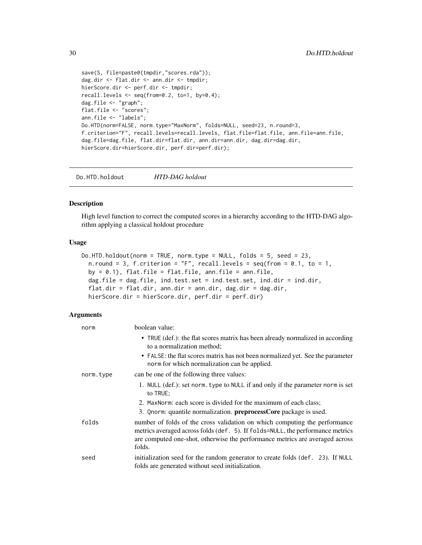```
save(S, file=paste0(tmpdir,"scores.rda"));
dag.dir <- flat.dir <- ann.dir <- tmpdir;
hierScore.dir <- perf.dir <- tmpdir;
recall.levels <- seq(from=0.2, to=1, by=0.4);
dag.file <- "graph";
flat.file <- "scores";
ann.file <- "labels";
Do.HTD(norm=FALSE, norm.type="MaxNorm", folds=NULL, seed=23, n.round=3,
f.criterion="F", recall.levels=recall.levels, flat.file=flat.file, ann.file=ann.file,
dag.file=dag.file, flat.dir=flat.dir, ann.dir=ann.dir, dag.dir=dag.dir,
hierScore.dir=hierScore.dir, perf.dir=perf.dir);
```
Do.HTD.holdout *HTD-DAG holdout*

# Description

High level function to correct the computed scores in a hierarchy according to the HTD-DAG algorithm applying a classical holdout procedure

#### Usage

```
Do.HTD.holdout(norm = TRUE, norm.type = NULL, folds = 5, seed = 23,
 n.round = 3, f.criterion = "F", recall.levels = seq(from = 0.1, to = 1,by = 0.1), flat.file = flat.file, ann.file = ann.file,
 dag.file = dag.file, ind.test.set = ind.test.set, ind.dir = ind.dir,
  flat.dir = flat.dir, ann.dir = ann.dir, dag.dir = dag.dir,
 hierScore.dir = hierScore.dir, perf.dir = perf.dir)
```

| norm      | boolean value:                                                                                                                                                                                                                                         |
|-----------|--------------------------------------------------------------------------------------------------------------------------------------------------------------------------------------------------------------------------------------------------------|
|           | • TRUE (def.): the flat scores matrix has been already normalized in according<br>to a normalization method;                                                                                                                                           |
|           | • FALSE: the flat scores matrix has not been normalized yet. See the parameter<br>norm for which normalization can be applied.                                                                                                                         |
| norm.type | can be one of the following three values:                                                                                                                                                                                                              |
|           | 1. NULL (def.): set norm. type to NULL if and only if the parameter norm is set<br>to TRUE;                                                                                                                                                            |
|           | 2. MaxNorm: each score is divided for the maximum of each class;                                                                                                                                                                                       |
|           | 3. Qnorm: quantile normalization. <b>preprocessCore</b> package is used.                                                                                                                                                                               |
| folds     | number of folds of the cross validation on which computing the performance<br>metrics averaged across folds (def. 5). If folds=NULL, the performance metrics<br>are computed one-shot, otherwise the performance metrics are averaged across<br>folds. |
| seed      | initialization seed for the random generator to create folds (def. 23). If NULL<br>folds are generated without seed initialization.                                                                                                                    |

<span id="page-29-0"></span>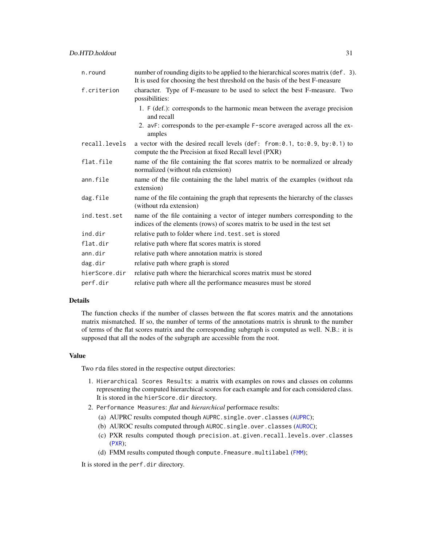| n.round       | number of rounding digits to be applied to the hierarchical scores matrix (def. 3).<br>It is used for choosing the best threshold on the basis of the best F-measure |
|---------------|----------------------------------------------------------------------------------------------------------------------------------------------------------------------|
| f.criterion   | character. Type of F-measure to be used to select the best F-measure. Two<br>possibilities:                                                                          |
|               | 1. F (def.): corresponds to the harmonic mean between the average precision<br>and recall                                                                            |
|               | 2. avF: corresponds to the per-example F-score averaged across all the ex-<br>amples                                                                                 |
| recall.levels | a vector with the desired recall levels (def: from: 0.1, to: 0.9, by: 0.1) to<br>compute the the Precision at fixed Recall level (PXR)                               |
| flat.file     | name of the file containing the flat scores matrix to be normalized or already<br>normalized (without rda extension)                                                 |
| ann.file      | name of the file containing the the label matrix of the examples (without rda<br>extension)                                                                          |
| dag.file      | name of the file containing the graph that represents the hierarchy of the classes<br>(without rda extension)                                                        |
| ind.test.set  | name of the file containing a vector of integer numbers corresponding to the<br>indices of the elements (rows) of scores matrix to be used in the test set           |
| ind.dir       | relative path to folder where ind. test. set is stored                                                                                                               |
| flat.dir      | relative path where flat scores matrix is stored                                                                                                                     |
| ann.dir       | relative path where annotation matrix is stored                                                                                                                      |
| dag.dir       | relative path where graph is stored                                                                                                                                  |
| hierScore.dir | relative path where the hierarchical scores matrix must be stored                                                                                                    |
| perf.dir      | relative path where all the performance measures must be stored                                                                                                      |

# Details

The function checks if the number of classes between the flat scores matrix and the annotations matrix mismatched. If so, the number of terms of the annotations matrix is shrunk to the number of terms of the flat scores matrix and the corresponding subgraph is computed as well. N.B.: it is supposed that all the nodes of the subgraph are accessible from the root.

## Value

Two rda files stored in the respective output directories:

- 1. Hierarchical Scores Results: a matrix with examples on rows and classes on columns representing the computed hierarchical scores for each example and for each considered class. It is stored in the hierScore.dir directory.
- 2. Performance Measures: *flat* and *hierarchical* performace results:
	- (a) AUPRC results computed though AUPRC.single.over.classes ([AUPRC](#page-5-1));
	- (b) [AUROC](#page-6-1) results computed through AUROC.single.over.classes (AUROC);
	- (c) PXR results computed though precision.at.given.recall.levels.over.classes ([PXR](#page-50-1));
	- (d) [FMM](#page-36-1) results computed though compute. Fmeasure.multilabel (FMM);

It is stored in the perf.dir directory.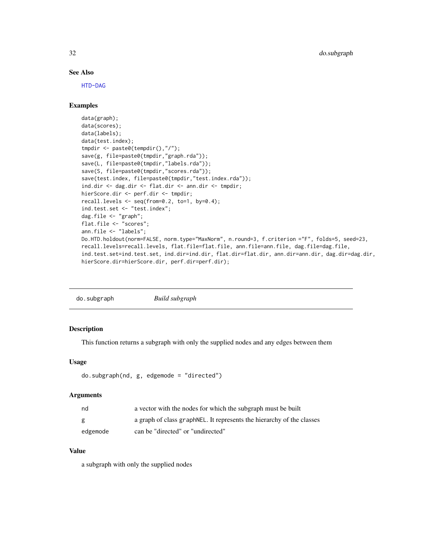# See Also

[HTD-DAG](#page-46-1)

# Examples

```
data(graph);
data(scores);
data(labels);
data(test.index);
tmpdir <- paste0(tempdir(),"/");
save(g, file=paste0(tmpdir,"graph.rda"));
save(L, file=paste0(tmpdir,"labels.rda"));
save(S, file=paste0(tmpdir,"scores.rda"));
save(test.index, file=paste0(tmpdir,"test.index.rda"));
ind.dir <- dag.dir <- flat.dir <- ann.dir <- tmpdir;
hierScore.dir <- perf.dir <- tmpdir;
recall.levels <- seq(from=0.2, to=1, by=0.4);
ind.test.set <- "test.index";
dag.file <- "graph";
flat.file <- "scores";
ann.file <- "labels";
Do.HTD.holdout(norm=FALSE, norm.type="MaxNorm", n.round=3, f.criterion ="F", folds=5, seed=23,
recall.levels=recall.levels, flat.file=flat.file, ann.file=ann.file, dag.file=dag.file,
ind.test.set=ind.test.set, ind.dir=ind.dir, flat.dir=flat.dir, ann.dir=ann.dir, dag.dir=dag.dir,
hierScore.dir=hierScore.dir, perf.dir=perf.dir);
```

| Build subgraph |  |  |
|----------------|--|--|
|                |  |  |

# Description

This function returns a subgraph with only the supplied nodes and any edges between them

#### Usage

```
do.subgraph(nd, g, edgemode = "directed")
```
#### Arguments

| nd       | a vector with the nodes for which the subgraph must be built           |
|----------|------------------------------------------------------------------------|
| g        | a graph of class graph NEL. It represents the hierarchy of the classes |
| edgemode | can be "directed" or "undirected"                                      |

# Value

a subgraph with only the supplied nodes

<span id="page-31-0"></span>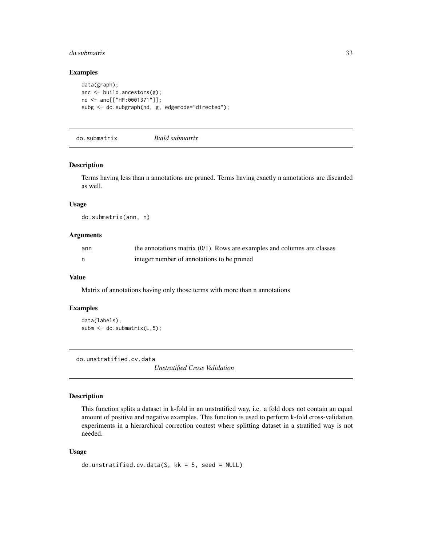#### <span id="page-32-0"></span>do.submatrix 33

# Examples

```
data(graph);
anc <- build.ancestors(g);
nd <- anc[["HP:0001371"]];
subg <- do.subgraph(nd, g, edgemode="directed");
```
do.submatrix *Build submatrix*

#### Description

Terms having less than n annotations are pruned. Terms having exactly n annotations are discarded as well.

# Usage

do.submatrix(ann, n)

# Arguments

| ann | the annotations matrix $(0/1)$ . Rows are examples and columns are classes |
|-----|----------------------------------------------------------------------------|
|     | integer number of annotations to be pruned                                 |

#### Value

Matrix of annotations having only those terms with more than n annotations

# Examples

```
data(labels);
subm <- do.submatrix(L,5);
```
do.unstratified.cv.data

*Unstratified Cross Validation*

#### Description

This function splits a dataset in k-fold in an unstratified way, i.e. a fold does not contain an equal amount of positive and negative examples. This function is used to perform k-fold cross-validation experiments in a hierarchical correction contest where splitting dataset in a stratified way is not needed.

#### Usage

```
do.unstratified.cv.data(S, kk = 5, seed = NULL)
```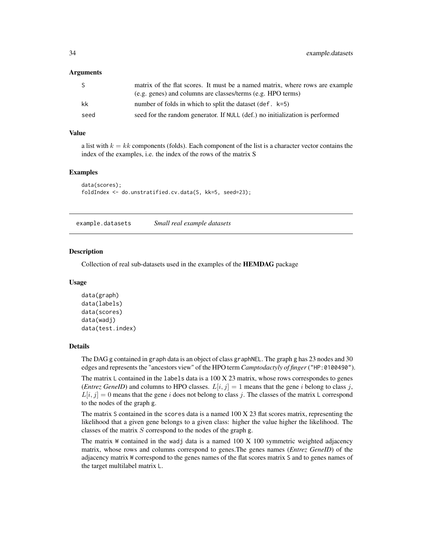#### <span id="page-33-0"></span>**Arguments**

| -S   | matrix of the flat scores. It must be a named matrix, where rows are example |
|------|------------------------------------------------------------------------------|
|      | (e.g. genes) and columns are classes/terms (e.g. HPO terms)                  |
| kk   | number of folds in which to split the dataset (def. $k=5$ )                  |
| seed | seed for the random generator. If NULL (def.) no initialization is performed |

# Value

a list with  $k = kk$  components (folds). Each component of the list is a character vector contains the index of the examples, i.e. the index of the rows of the matrix S

#### Examples

```
data(scores);
foldIndex <- do.unstratified.cv.data(S, kk=5, seed=23);
```
example.datasets *Small real example datasets*

#### Description

Collection of real sub-datasets used in the examples of the HEMDAG package

#### Usage

```
data(graph)
data(labels)
data(scores)
data(wadj)
data(test.index)
```
#### Details

The DAG g contained in graph data is an object of class graphNEL. The graph g has 23 nodes and 30 edges and represents the "ancestors view" of the HPO term *Camptodactyly of finger* ("HP:0100490").

The matrix L contained in the labels data is a 100 X 23 matrix, whose rows correspondes to genes (*Entrez GeneID*) and columns to HPO classes.  $L[i, j] = 1$  means that the gene i belong to class j,  $L[i, j] = 0$  means that the gene i does not belong to class j. The classes of the matrix L correspond to the nodes of the graph g.

The matrix S contained in the scores data is a named  $100 \text{ X } 23$  flat scores matrix, representing the likelihood that a given gene belongs to a given class: higher the value higher the likelihood. The classes of the matrix  $S$  correspond to the nodes of the graph g.

The matrix  $W$  contained in the wadj data is a named  $100 \text{ X } 100$  symmetric weighted adjacency matrix, whose rows and columns correspond to genes.The genes names (*Entrez GeneID*) of the adjacency matrix W correspond to the genes names of the flat scores matrix S and to genes names of the target multilabel matrix L.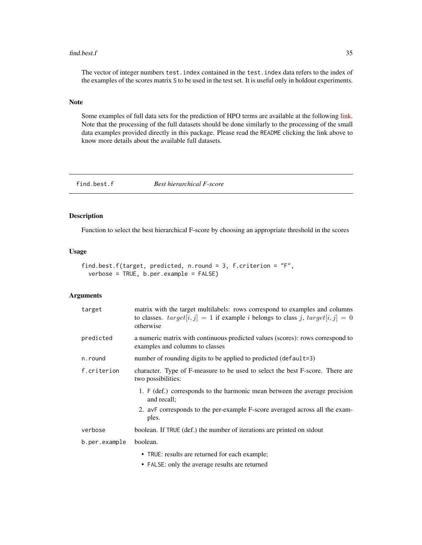#### <span id="page-34-0"></span> $find. best.f$  35

The vector of integer numbers test.index contained in the test.index data refers to the index of the examples of the scores matrix S to be used in the test set. It is useful only in holdout experiments.

### Note

Some examples of full data sets for the prediction of HPO terms are available at the following [link.](https://homes.di.unimi.it/notaro/DATA/DATA_BMC/) Note that the processing of the full datasets should be done similarly to the processing of the small data examples provided directly in this package. Please read the README clicking the link above to know more details about the available full datasets.

find.best.f *Best hierarchical F-score*

# Description

Function to select the best hierarchical F-score by choosing an appropriate threshold in the scores

# Usage

```
find.best.f(target, predicted, n.round = 3, f.criterion = "F",
  verbose = TRUE, b.per.example = FALSE)
```

| target        | matrix with the target multilabels: rows correspond to examples and columns<br>to classes. $target[i, j] = 1$ if example <i>i</i> belongs to class <i>j</i> , $target[i, j] = 0$<br>otherwise |
|---------------|-----------------------------------------------------------------------------------------------------------------------------------------------------------------------------------------------|
| predicted     | a numeric matrix with continuous predicted values (scores): rows correspond to<br>examples and columns to classes                                                                             |
| n.round       | number of rounding digits to be applied to predicted (default=3)                                                                                                                              |
| f.criterion   | character. Type of F-measure to be used to select the best F-score. There are<br>two possibilities:                                                                                           |
|               | 1. F (def.) corresponds to the harmonic mean between the average precision<br>and recall;                                                                                                     |
|               | 2. avF corresponds to the per-example F-score averaged across all the exam-<br>ples.                                                                                                          |
| verbose       | boolean. If TRUE (def.) the number of iterations are printed on stdout                                                                                                                        |
| b.per.example | boolean.                                                                                                                                                                                      |
|               | • TRUE: results are returned for each example;                                                                                                                                                |
|               | • FALSE: only the average results are returned                                                                                                                                                |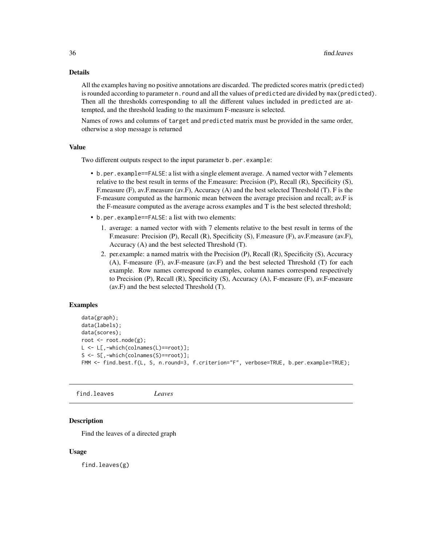#### Details

All the examples having no positive annotations are discarded. The predicted scores matrix (predicted) is rounded according to parameter n. round and all the values of predicted are divided by max(predicted). Then all the thresholds corresponding to all the different values included in predicted are attempted, and the threshold leading to the maximum F-measure is selected.

Names of rows and columns of target and predicted matrix must be provided in the same order, otherwise a stop message is returned

#### Value

Two different outputs respect to the input parameter b.per.example:

- b.per.example==FALSE: a list with a single element average. A named vector with 7 elements relative to the best result in terms of the F.measure: Precision (P), Recall (R), Specificity (S), F.measure (F), av.F.measure (av.F), Accuracy (A) and the best selected Threshold (T). F is the F-measure computed as the harmonic mean between the average precision and recall; av.F is the F-measure computed as the average across examples and T is the best selected threshold;
- b.per.example==FALSE: a list with two elements:
	- 1. average: a named vector with with 7 elements relative to the best result in terms of the F.measure: Precision (P), Recall (R), Specificity (S), F.measure (F), av.F.measure (av.F), Accuracy (A) and the best selected Threshold (T).
	- 2. per.example: a named matrix with the Precision (P), Recall (R), Specificity (S), Accuracy (A), F-measure (F), av.F-measure (av.F) and the best selected Threshold (T) for each example. Row names correspond to examples, column names correspond respectively to Precision (P), Recall (R), Specificity (S), Accuracy (A), F-measure (F), av.F-measure (av.F) and the best selected Threshold (T).

#### Examples

```
data(graph);
data(labels);
data(scores);
root <- root.node(g);
L <- L[,-which(colnames(L)==root)];
S <- S[,-which(colnames(S)==root)];
FMM <- find.best.f(L, S, n.round=3, f.criterion="F", verbose=TRUE, b.per.example=TRUE);
```
find.leaves *Leaves*

# Description

Find the leaves of a directed graph

#### Usage

find.leaves(g)

<span id="page-35-0"></span>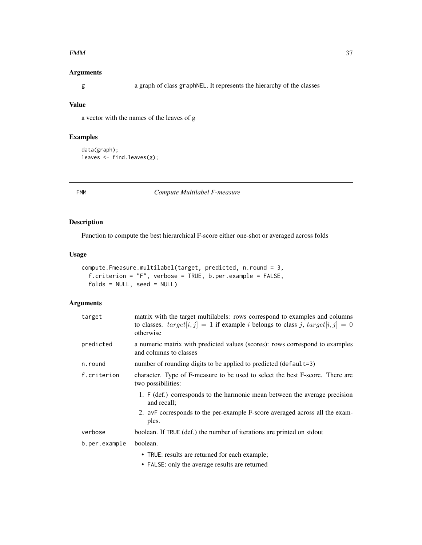#### <span id="page-36-1"></span> $FMM$  37

### Arguments

g a graph of class graphNEL. It represents the hierarchy of the classes

### Value

a vector with the names of the leaves of g

### Examples

```
data(graph);
leaves <- find.leaves(g);
```
<span id="page-36-0"></span>

FMM *Compute Multilabel F-measure*

### Description

Function to compute the best hierarchical F-score either one-shot or averaged across folds

### Usage

```
compute.Fmeasure.multilabel(target, predicted, n.round = 3,
 f.criterion = "F", verbose = TRUE, b.per.example = FALSE,
 folds = NULL, seed = NULL)
```
### Arguments

| target        | matrix with the target multilabels: rows correspond to examples and columns<br>to classes. $target[i, j] = 1$ if example <i>i</i> belongs to class <i>j</i> , $target[i, j] = 0$<br>otherwise |
|---------------|-----------------------------------------------------------------------------------------------------------------------------------------------------------------------------------------------|
| predicted     | a numeric matrix with predicted values (scores): rows correspond to examples<br>and columns to classes                                                                                        |
| n.round       | number of rounding digits to be applied to predicted (default=3)                                                                                                                              |
| f.criterion   | character. Type of F-measure to be used to select the best F-score. There are<br>two possibilities:                                                                                           |
|               | 1. F (def.) corresponds to the harmonic mean between the average precision<br>and recall;                                                                                                     |
|               | 2. avF corresponds to the per-example F-score averaged across all the exam-<br>ples.                                                                                                          |
| verbose       | boolean. If TRUE (def.) the number of iterations are printed on stdout                                                                                                                        |
| b.per.example | boolean.                                                                                                                                                                                      |
|               | • TRUE: results are returned for each example;                                                                                                                                                |
|               | • FALSE: only the average results are returned                                                                                                                                                |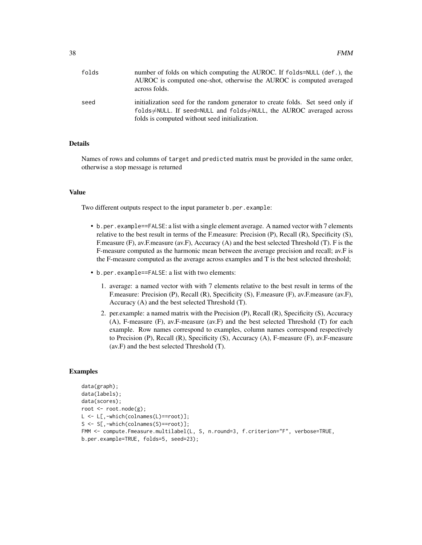| folds | number of folds on which computing the AUROC. If folds=NULL (def.), the<br>AUROC is computed one-shot, otherwise the AUROC is computed averaged<br>across folds.                                                     |
|-------|----------------------------------------------------------------------------------------------------------------------------------------------------------------------------------------------------------------------|
| seed  | initialization seed for the random generator to create folds. Set seed only if<br>folds $\neq$ NULL. If seed=NULL and folds $\neq$ NULL, the AUROC averaged across<br>folds is computed without seed initialization. |

### Details

Names of rows and columns of target and predicted matrix must be provided in the same order, otherwise a stop message is returned

#### Value

Two different outputs respect to the input parameter b.per.example:

- b.per.example==FALSE: a list with a single element average. A named vector with 7 elements relative to the best result in terms of the F.measure: Precision (P), Recall (R), Specificity (S), F.measure (F), av.F.measure (av.F), Accuracy (A) and the best selected Threshold (T). F is the F-measure computed as the harmonic mean between the average precision and recall; av.F is the F-measure computed as the average across examples and T is the best selected threshold;
- b.per.example==FALSE: a list with two elements:
	- 1. average: a named vector with with 7 elements relative to the best result in terms of the F.measure: Precision (P), Recall (R), Specificity (S), F.measure (F), av.F.measure (av.F), Accuracy (A) and the best selected Threshold (T).
	- 2. per.example: a named matrix with the Precision (P), Recall (R), Specificity (S), Accuracy (A), F-measure (F), av.F-measure (av.F) and the best selected Threshold (T) for each example. Row names correspond to examples, column names correspond respectively to Precision (P), Recall (R), Specificity (S), Accuracy (A), F-measure (F), av.F-measure (av.F) and the best selected Threshold (T).

```
data(graph);
data(labels);
data(scores);
root <- root.node(g);
L <- L[,-which(colnames(L)==root)];
S <- S[,-which(colnames(S)==root)];
FMM <- compute. Fmeasure.multilabel(L, S, n.round=3, f.criterion="F", verbose=TRUE,
b.per.example=TRUE, folds=5, seed=23);
```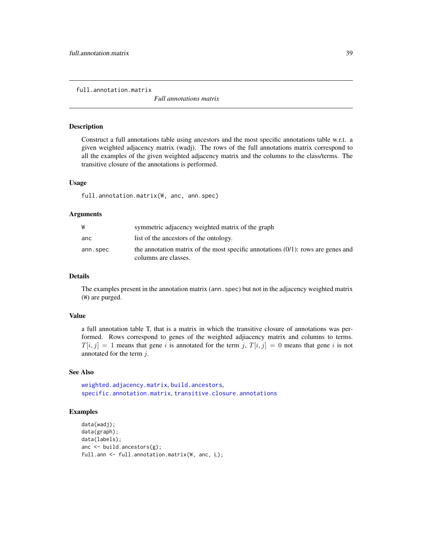<span id="page-38-0"></span>full.annotation.matrix

*Full annotations matrix*

#### Description

Construct a full annotations table using ancestors and the most specific annotations table w.r.t. a given weighted adjacency matrix (wadj). The rows of the full annotations matrix correspond to all the examples of the given weighted adjacency matrix and the columns to the class/terms. The transitive closure of the annotations is performed.

#### Usage

full.annotation.matrix(W, anc, ann.spec)

#### Arguments

|          | symmetric adjacency weighted matrix of the graph                                                            |
|----------|-------------------------------------------------------------------------------------------------------------|
| anc      | list of the ancestors of the ontology.                                                                      |
| ann.spec | the annotation matrix of the most specific annotations $(0/1)$ : rows are genes and<br>columns are classes. |

#### Details

The examples present in the annotation matrix (ann.spec) but not in the adjacency weighted matrix (W) are purged.

#### Value

a full annotation table T, that is a matrix in which the transitive closure of annotations was performed. Rows correspond to genes of the weighted adjiacency matrix and columns to terms.  $T[i, j] = 1$  means that gene i is annotated for the term j,  $T[i, j] = 0$  means that gene i is not annotated for the term  $i$ .

#### See Also

[weighted.adjacency.matrix](#page-69-0), [build.ancestors](#page-4-0), [specific.annotation.matrix](#page-54-0), [transitive.closure.annotations](#page-67-0)

```
data(wadj);
data(graph);
data(labels);
anc <- build.ancestors(g);
full.ann <- full.annotation.matrix(W, anc, L);
```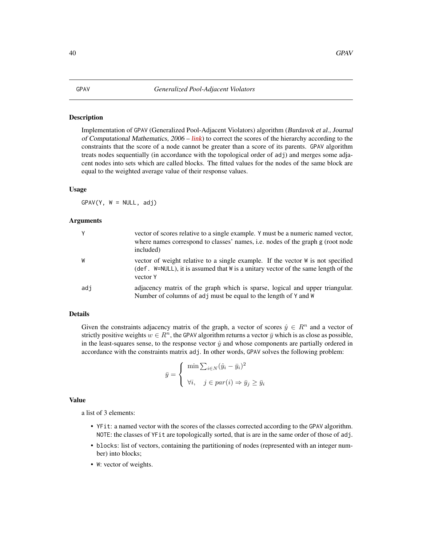### <span id="page-39-1"></span><span id="page-39-0"></span>Description

Implementation of GPAV (Generalized Pool-Adjacent Violators) algorithm (Burdavok et al., Journal of Computational Mathematics,  $2006 - link$  $2006 - link$ ) to correct the scores of the hierarchy according to the constraints that the score of a node cannot be greater than a score of its parents. GPAV algorithm treats nodes sequentially (in accordance with the topological order of adj) and merges some adjacent nodes into sets which are called blocks. The fitted values for the nodes of the same block are equal to the weighted average value of their response values.

#### Usage

 $GPAV(Y, W = NULL, adj)$ 

#### Arguments

| Y   | vector of scores relative to a single example. Y must be a numeric named vector,<br>where names correspond to classes' names, i.e. nodes of the graph g (root node<br>included)  |
|-----|----------------------------------------------------------------------------------------------------------------------------------------------------------------------------------|
| W   | vector of weight relative to a single example. If the vector W is not specified<br>(def. W=NULL), it is assumed that W is a unitary vector of the same length of the<br>vector Y |
| adi | adjacency matrix of the graph which is sparse, logical and upper triangular.<br>Number of columns of adj must be equal to the length of Y and W                                  |

#### Details

Given the constraints adjacency matrix of the graph, a vector of scores  $\hat{y} \in R^n$  and a vector of strictly positive weights  $w \in R^n$ , the GPAV algorithm returns a vector  $\bar{y}$  which is as close as possible, in the least-squares sense, to the response vector  $\hat{y}$  and whose components are partially ordered in accordance with the constraints matrix adj. In other words, GPAV solves the following problem:

$$
\bar{y} = \begin{cases} \min \sum_{i \in N} (\hat{y}_i - \bar{y}_i)^2 \\ \forall i, \quad j \in par(i) \Rightarrow \bar{y}_j \ge \bar{y}_i \end{cases}
$$

#### Value

a list of 3 elements:

- YFit: a named vector with the scores of the classes corrected according to the GPAV algorithm. NOTE: the classes of YFit are topologically sorted, that is are in the same order of those of adj.
- blocks: list of vectors, containing the partitioning of nodes (represented with an integer number) into blocks;
- W: vector of weights.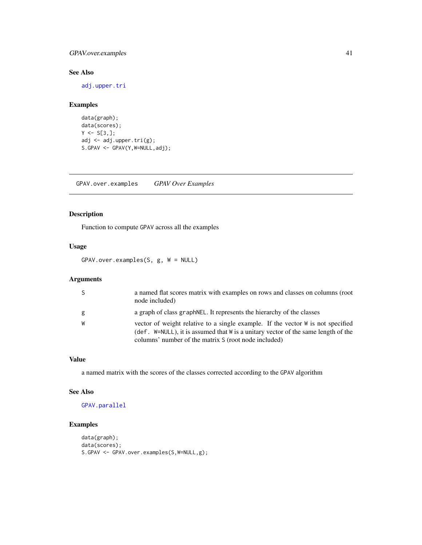### <span id="page-40-1"></span>GPAV.over.examples 41

### See Also

[adj.upper.tri](#page-3-0)

### Examples

```
data(graph);
data(scores);
Y \leftarrow S[3, ];
adj <- adj.upper.tri(g);
S.GPAV <- GPAV(Y,W=NULL,adj);
```
<span id="page-40-0"></span>GPAV.over.examples *GPAV Over Examples*

### Description

Function to compute GPAV across all the examples

### Usage

GPAV.over.examples(S, g, W = NULL)

### Arguments

|   | a named flat scores matrix with examples on rows and classes on columns (root<br>node included)                                                                                                                              |
|---|------------------------------------------------------------------------------------------------------------------------------------------------------------------------------------------------------------------------------|
| g | a graph of class graph NEL. It represents the hierarchy of the classes                                                                                                                                                       |
|   | vector of weight relative to a single example. If the vector W is not specified<br>(def. W=NULL), it is assumed that W is a unitary vector of the same length of the<br>columns' number of the matrix S (root node included) |

### Value

a named matrix with the scores of the classes corrected according to the GPAV algorithm

### See Also

[GPAV.parallel](#page-41-0)

```
data(graph);
data(scores);
S.GPAV <- GPAV.over.examples(S,W=NULL,g);
```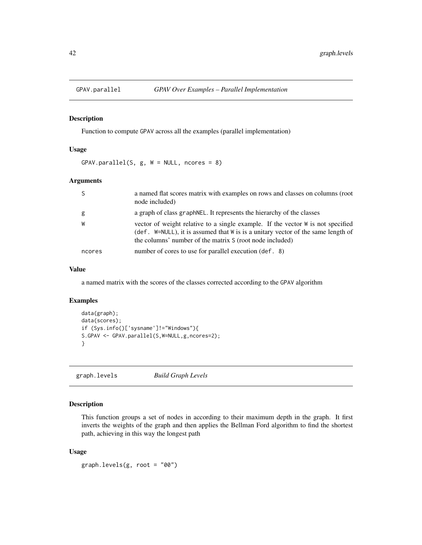<span id="page-41-2"></span><span id="page-41-0"></span>

#### Description

Function to compute GPAV across all the examples (parallel implementation)

#### Usage

 $GPAV.parallel(S, g, W = NULL, ncores = 8)$ 

#### Arguments

|        | a named flat scores matrix with examples on rows and classes on columns (root<br>node included)                                                                                                                                    |
|--------|------------------------------------------------------------------------------------------------------------------------------------------------------------------------------------------------------------------------------------|
| g      | a graph of class graph NEL. It represents the hierarchy of the classes                                                                                                                                                             |
| W      | vector of weight relative to a single example. If the vector W is not specified<br>(def. $W=NULL$ ), it is assumed that W is is a unitary vector of the same length of<br>the columns' number of the matrix S (root node included) |
| ncores | number of cores to use for parallel execution (def. 8)                                                                                                                                                                             |

### Value

a named matrix with the scores of the classes corrected according to the GPAV algorithm

### Examples

```
data(graph);
data(scores);
if (Sys.info()['sysname']!="Windows"){
S.GPAV <- GPAV.parallel(S,W=NULL,g,ncores=2);
}
```
<span id="page-41-1"></span>graph.levels *Build Graph Levels*

## Description

This function groups a set of nodes in according to their maximum depth in the graph. It first inverts the weights of the graph and then applies the Bellman Ford algorithm to find the shortest path, achieving in this way the longest path

#### Usage

graph.levels(g, root = "00")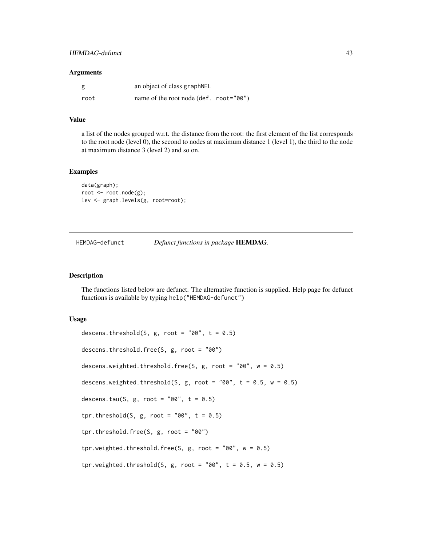#### <span id="page-42-0"></span>Arguments

| g    | an object of class graph NEL           |  |
|------|----------------------------------------|--|
| root | name of the root node (def. root="00") |  |

#### Value

a list of the nodes grouped w.r.t. the distance from the root: the first element of the list corresponds to the root node (level 0), the second to nodes at maximum distance 1 (level 1), the third to the node at maximum distance 3 (level 2) and so on.

### Examples

```
data(graph);
root <- root.node(g);
lev <- graph.levels(g, root=root);
```
HEMDAG-defunct *Defunct functions in package* HEMDAG*.*

#### Description

The functions listed below are defunct. The alternative function is supplied. Help page for defunct functions is available by typing help("HEMDAG-defunct")

#### Usage

```
descens.threshold(S, g, root = "00", t = 0.5)descens.threshold.free(S, g, root = "00")
descens.weighted.threshold.free(S, g, root = "00", w = 0.5)
descens.weighted.threshold(S, g, root = "00", t = 0.5, w = 0.5)
descens.tau(S, g, root = "00", t = 0.5)
tpr.threshold(S, g, root = "00", t = 0.5)
tpr.threshold.free(S, g, root = "00")
tpr.weighted.threshold.free(S, g, root = "00", w = 0.5)
tpr.weighted.threshold(S, g, root = "00", t = 0.5, w = 0.5)
```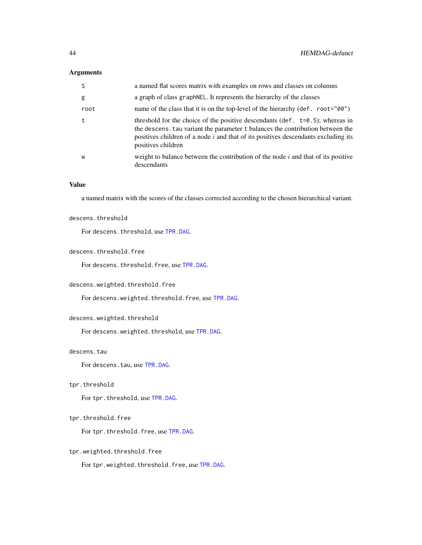### Arguments

| -S   | a named flat scores matrix with examples on rows and classes on columns                                                                                                                                                                                                          |
|------|----------------------------------------------------------------------------------------------------------------------------------------------------------------------------------------------------------------------------------------------------------------------------------|
| g    | a graph of class graph NEL. It represents the hierarchy of the classes                                                                                                                                                                                                           |
| root | name of the class that it is on the top-level of the hierarchy (def. root="00")                                                                                                                                                                                                  |
| t    | threshold for the choice of the positive descendants (def. $t=0.5$ ); whereas in<br>the descens. tau variant the parameter t balances the contribution between the<br>positives children of a node $i$ and that of its positives descendants excluding its<br>positives children |
| W    | weight to balance between the contribution of the node $i$ and that of its positive<br>descendants                                                                                                                                                                               |

### Value

a named matrix with the scores of the classes corrected according to the chosen hierarchical variant.

#### descens.threshold

For descens.threshold, use [TPR.DAG](#page-64-0).

#### descens.threshold.free

For descens.threshold.free, use [TPR.DAG](#page-64-0).

### descens.weighted.threshold.free

For descens.weighted.threshold.free, use [TPR.DAG](#page-64-0).

#### descens.weighted.threshold

For descens.weighted.threshold, use [TPR.DAG](#page-64-0).

### descens.tau

For descens.tau, use [TPR.DAG](#page-64-0).

#### tpr.threshold

For tpr.threshold, use [TPR.DAG](#page-64-0).

### tpr.threshold.free

For tpr.threshold.free, use [TPR.DAG](#page-64-0).

### tpr.weighted.threshold.free

For tpr.weighted.threshold.free, use [TPR.DAG](#page-64-0).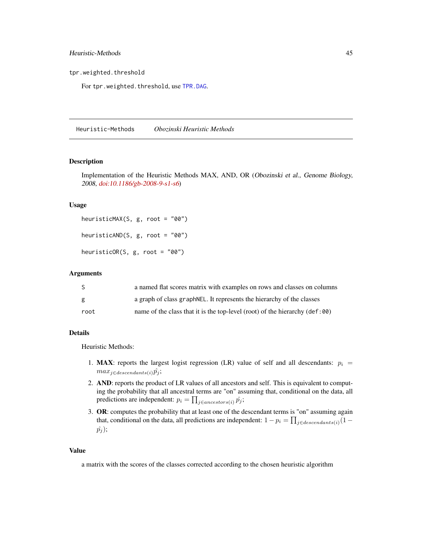<span id="page-44-0"></span>tpr.weighted.threshold

For tpr.weighted.threshold, use [TPR.DAG](#page-64-0).

Heuristic-Methods *Obozinski Heuristic Methods*

#### Description

Implementation of the Heuristic Methods MAX, AND, OR (Obozinski et al., Genome Biology, 2008, [doi:10.1186/gb-2008-9-s1-s6](https://genomebiology.biomedcentral.com/articles/10.1186/gb-2008-9-s1-s6))

#### Usage

heuristicMAX(S, g, root = "00") heuristicAND(S, g, root = "00") heuristicOR(S, g, root = "00")

#### Arguments

| S    | a named flat scores matrix with examples on rows and classes on columns              |
|------|--------------------------------------------------------------------------------------|
| g    | a graph of class graph NEL. It represents the hierarchy of the classes               |
| root | name of the class that it is the top-level (root) of the hierarchy $(\text{def:00})$ |

### Details

Heuristic Methods:

- 1. MAX: reports the largest logist regression (LR) value of self and all descendants:  $p_i =$  $max_{j \in descendants(i)} \hat{p_j};$
- 2. AND: reports the product of LR values of all ancestors and self. This is equivalent to computing the probability that all ancestral terms are "on" assuming that, conditional on the data, all predictions are independent:  $p_i = \prod_{j \in ancestors(i)} \hat{p}_j;$
- 3. OR: computes the probability that at least one of the descendant terms is "on" assuming again that, conditional on the data, all predictions are independent:  $1 - p_i = \prod_{j \in descendants(i)} (1 \hat{p}_j$ );

#### Value

a matrix with the scores of the classes corrected according to the chosen heuristic algorithm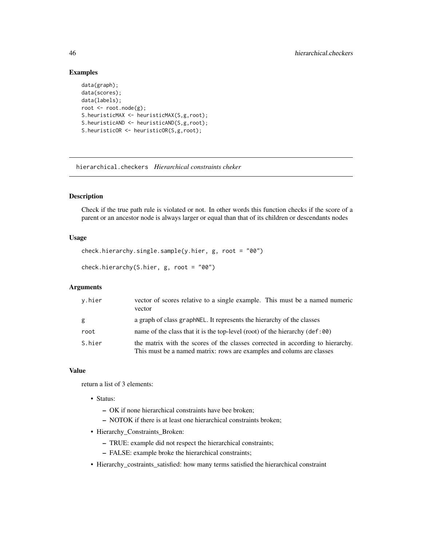### Examples

```
data(graph);
data(scores);
data(labels);
root <- root.node(g);
S.heuristicMAX <- heuristicMAX(S,g,root);
S.heuristicAND <- heuristicAND(S,g,root);
S.heuristicOR <- heuristicOR(S,g,root);
```
<span id="page-45-0"></span>hierarchical.checkers *Hierarchical constraints cheker*

### Description

Check if the true path rule is violated or not. In other words this function checks if the score of a parent or an ancestor node is always larger or equal than that of its children or descendants nodes

### Usage

```
check.hierarchy.single.sample(y.hier, g, root = "00")
```

```
check.hierarchy(S.hier, g, root = "00")
```
### Arguments

| v.hier | vector of scores relative to a single example. This must be a named numeric<br>vector                                                                   |
|--------|---------------------------------------------------------------------------------------------------------------------------------------------------------|
| g      | a graph of class graph NEL. It represents the hierarchy of the classes                                                                                  |
| root   | name of the class that it is the top-level (root) of the hierarchy $(\text{def:} 90)$                                                                   |
| S.hier | the matrix with the scores of the classes corrected in according to hierarchy.<br>This must be a named matrix: rows are examples and colums are classes |

### Value

return a list of 3 elements:

- Status:
	- OK if none hierarchical constraints have bee broken;
	- NOTOK if there is at least one hierarchical constraints broken;
- Hierarchy\_Constraints\_Broken:
	- TRUE: example did not respect the hierarchical constraints;
	- FALSE: example broke the hierarchical constraints;
- Hierarchy\_costraints\_satisfied: how many terms satisfied the hierarchical constraint

<span id="page-45-1"></span>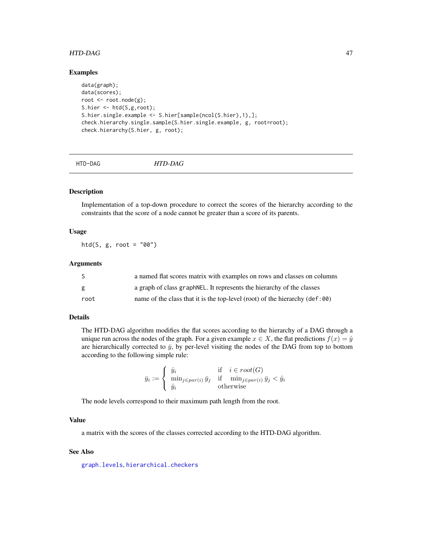#### <span id="page-46-1"></span>HTD-DAG 47

#### Examples

```
data(graph);
data(scores);
root <- root.node(g);
S.hier <- htd(S,g,root);
S.hier.single.example <- S.hier[sample(ncol(S.hier),1),];
check.hierarchy.single.sample(S.hier.single.example, g, root=root);
check.hierarchy(S.hier, g, root);
```
<span id="page-46-0"></span>HTD-DAG *HTD-DAG*

#### Description

Implementation of a top-down procedure to correct the scores of the hierarchy according to the constraints that the score of a node cannot be greater than a score of its parents.

### Usage

htd(S,  $g$ , root = "00")

#### Arguments

| S.   | a named flat scores matrix with examples on rows and classes on columns               |
|------|---------------------------------------------------------------------------------------|
| g    | a graph of class graph NEL. It represents the hierarchy of the classes                |
| root | name of the class that it is the top-level (root) of the hierarchy $(\text{def}: 00)$ |

### Details

The HTD-DAG algorithm modifies the flat scores according to the hierarchy of a DAG through a unique run across the nodes of the graph. For a given example  $x \in X$ , the flat predictions  $f(x) = \hat{y}$ are hierarchically corrected to  $\bar{y}$ , by per-level visiting the nodes of the DAG from top to bottom according to the following simple rule:

$$
\bar{y}_i := \begin{cases} \hat{y}_i & \text{if } i \in root(G) \\ \min_{j \in par(i)} \bar{y}_j & \text{if } \min_{j \in par(i)} \bar{y}_j < \hat{y}_i \\ \hat{y}_i & \text{otherwise} \end{cases}
$$

The node levels correspond to their maximum path length from the root.

### Value

a matrix with the scores of the classes corrected according to the HTD-DAG algorithm.

#### See Also

[graph.levels](#page-41-1), [hierarchical.checkers](#page-45-0)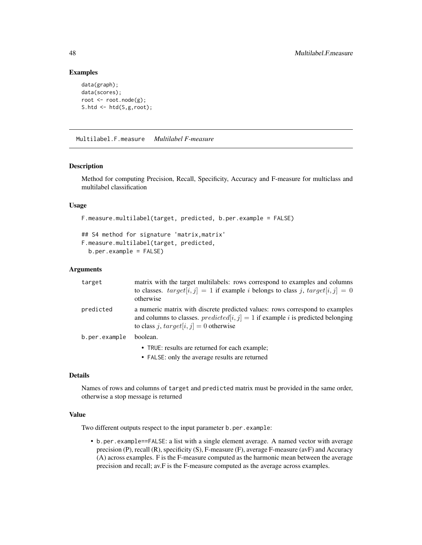### Examples

```
data(graph);
data(scores);
root <- root.node(g);
S.htd <- htd(S,g,root);
```
<span id="page-47-0"></span>Multilabel.F.measure *Multilabel F-measure*

### Description

Method for computing Precision, Recall, Specificity, Accuracy and F-measure for multiclass and multilabel classification

#### Usage

```
F.measure.multilabel(target, predicted, b.per.example = FALSE)
```

```
## S4 method for signature 'matrix,matrix'
F.measure.multilabel(target, predicted,
 b.per.example = FALSE)
```
### Arguments

| target        | matrix with the target multilabels: rows correspond to examples and columns<br>to classes. $target[i, j] = 1$ if example <i>i</i> belongs to class <i>j</i> , $target[i, j] = 0$<br>otherwise                                     |
|---------------|-----------------------------------------------------------------------------------------------------------------------------------------------------------------------------------------------------------------------------------|
| predicted     | a numeric matrix with discrete predicted values: rows correspond to examples<br>and columns to classes. <i>predicted</i> [ $i$ , $j$ ] = 1 if example <i>i</i> is predicted belonging<br>to class j, $target[i, j] = 0$ otherwise |
| b.per.example | boolean.                                                                                                                                                                                                                          |
|               | • TRUE: results are returned for each example;                                                                                                                                                                                    |

• FALSE: only the average results are returned

### Details

Names of rows and columns of target and predicted matrix must be provided in the same order, otherwise a stop message is returned

### Value

Two different outputs respect to the input parameter b.per.example:

• b.per.example==FALSE: a list with a single element average. A named vector with average precision (P), recall (R), specificity (S), F-measure (F), average F-measure (avF) and Accuracy (A) across examples. F is the F-measure computed as the harmonic mean between the average precision and recall; av.F is the F-measure computed as the average across examples.

<span id="page-47-1"></span>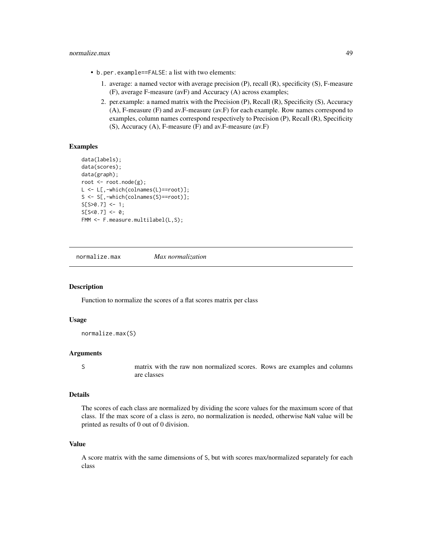### normalize.max 49

- b.per.example==FALSE: a list with two elements:
	- 1. average: a named vector with average precision (P), recall (R), specificity (S), F-measure (F), average F-measure (avF) and Accuracy (A) across examples;
	- 2. per.example: a named matrix with the Precision (P), Recall (R), Specificity (S), Accuracy (A), F-measure (F) and av.F-measure (av.F) for each example. Row names correspond to examples, column names correspond respectively to Precision (P), Recall (R), Specificity (S), Accuracy (A), F-measure (F) and av.F-measure (av.F)

#### Examples

```
data(labels);
data(scores);
data(graph);
root <- root.node(g);
L <- L[,-which(colnames(L)==root)];
S <- S[,-which(colnames(S)==root)];
S[ S>0.7 ] \leq 1;S[ S < 0.7 ] < - 0;FMM <- F.measure.multilabel(L,S);
```
normalize.max *Max normalization*

#### Description

Function to normalize the scores of a flat scores matrix per class

#### Usage

```
normalize.max(S)
```
#### Arguments

S matrix with the raw non normalized scores. Rows are examples and columns are classes

#### Details

The scores of each class are normalized by dividing the score values for the maximum score of that class. If the max score of a class is zero, no normalization is needed, otherwise NaN value will be printed as results of 0 out of 0 division.

#### Value

A score matrix with the same dimensions of S, but with scores max/normalized separately for each class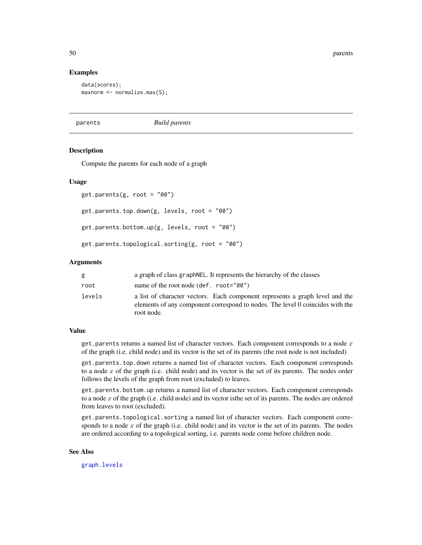50 parents

#### Examples

```
data(scores);
maxnorm <- normalize.max(S);
```
parents *Build parents*

#### Description

Compute the parents for each node of a graph

#### Usage

```
get.parents(g, root = "00")get.parents.top.down(g, levels, root = "00")
get.parents.bottom.up(g, levels, root = "00")
get.parents.topological.sorting(g, root = "00")
```
#### Arguments

| g      | a graph of class graph NEL. It represents the hierarchy of the classes                                                                                                      |
|--------|-----------------------------------------------------------------------------------------------------------------------------------------------------------------------------|
| root   | name of the root node $(\text{def. root}="00")$                                                                                                                             |
| levels | a list of character vectors. Each component represents a graph level and the<br>elements of any component correspond to nodes. The level 0 coincides with the<br>root node. |

#### Value

get.parents returns a named list of character vectors. Each component corresponds to a node  $x$ of the graph (i.e. child node) and its vector is the set of its parents (the root node is not included)

get.parents.top.down returns a named list of character vectors. Each component corresponds to a node  $x$  of the graph (i.e. child node) and its vector is the set of its parents. The nodes order follows the levels of the graph from root (excluded) to leaves.

get.parents.bottom.up returns a named list of character vectors. Each component corresponds to a node  $x$  of the graph (i.e. child node) and its vector is the set of its parents. The nodes are ordered from leaves to root (excluded).

get.parents.topological.sorting a named list of character vectors. Each component corresponds to a node  $x$  of the graph (i.e. child node) and its vector is the set of its parents. The nodes are ordered according to a topological sorting, i.e. parents node come before children node.

#### See Also

[graph.levels](#page-41-1)

<span id="page-49-0"></span>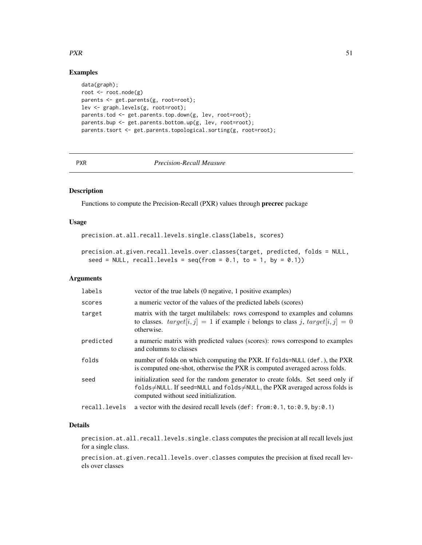### $PXR$  51

### Examples

```
data(graph);
root <- root.node(g)
parents <- get.parents(g, root=root);
lev <- graph.levels(g, root=root);
parents.tod <- get.parents.top.down(g, lev, root=root);
parents.bup <- get.parents.bottom.up(g, lev, root=root);
parents.tsort <- get.parents.topological.sorting(g, root=root);
```
### <span id="page-50-0"></span>PXR *Precision-Recall Measure*

#### Description

Functions to compute the Precision-Recall (PXR) values through precrec package

#### Usage

```
precision.at.all.recall.levels.single.class(labels, scores)
```

```
precision.at.given.recall.levels.over.classes(target, predicted, folds = NULL,
  seed = NULL, recall.levels = seq(from = 0.1, to = 1, by = 0.1)
```
### Arguments

| labels        | vector of the true labels (0 negative, 1 positive examples)                                                                                                                                                          |
|---------------|----------------------------------------------------------------------------------------------------------------------------------------------------------------------------------------------------------------------|
| scores        | a numeric vector of the values of the predicted labels (scores)                                                                                                                                                      |
| target        | matrix with the target multilabels: rows correspond to examples and columns<br>to classes. $target[i, j] = 1$ if example <i>i</i> belongs to class <i>j</i> , $target[i, j] = 0$<br>otherwise.                       |
| predicted     | a numeric matrix with predicted values (scores): rows correspond to examples<br>and columns to classes                                                                                                               |
| folds         | number of folds on which computing the PXR. If folds=NULL (def.), the PXR<br>is computed one-shot, otherwise the PXR is computed averaged across folds.                                                              |
| seed          | initialization seed for the random generator to create folds. Set seed only if<br>$folds \neq NULL$ . If seed=NULL and $folds \neq NULL$ , the PXR averaged across folds is<br>computed without seed initialization. |
| recall.levels | a vector with the desired recall levels (def: from: $0.1$ , to: $0.9$ , by: $0.1$ )                                                                                                                                  |

### Details

precision.at.all.recall.levels.single.class computes the precision at all recall levels just for a single class.

precision.at.given.recall.levels.over.classes computes the precision at fixed recall levels over classes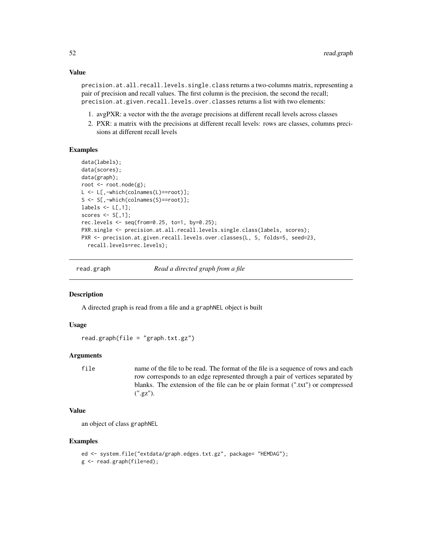### Value

precision.at.all.recall.levels.single.class returns a two-columns matrix, representing a pair of precision and recall values. The first column is the precision, the second the recall; precision.at.given.recall.levels.over.classes returns a list with two elements:

- 1. avgPXR: a vector with the the average precisions at different recall levels across classes
- 2. PXR: a matrix with the precisions at different recall levels: rows are classes, columns precisions at different recall levels

### Examples

```
data(labels);
data(scores);
data(graph);
root <- root.node(g);
L <- L[,-which(colnames(L)==root)];
S <- S[,-which(colnames(S)==root)];
labels \leq L[,1];scores \leq S[,1];
rec.levels <- seq(from=0.25, to=1, by=0.25);
PXR.single <- precision.at.all.recall.levels.single.class(labels, scores);
PXR <- precision.at.given.recall.levels.over.classes(L, S, folds=5, seed=23,
  recall.levels=rec.levels);
```
read.graph *Read a directed graph from a file*

### **Description**

A directed graph is read from a file and a graphNEL object is built

### Usage

 $read.graph(file = "graph.txt.gz")$ 

### **Arguments**

file name of the file to be read. The format of the file is a sequence of rows and each row corresponds to an edge represented through a pair of vertices separated by blanks. The extension of the file can be or plain format (".txt") or compressed (".gz").

#### Value

an object of class graphNEL

```
ed <- system.file("extdata/graph.edges.txt.gz", package= "HEMDAG");
g <- read.graph(file=ed);
```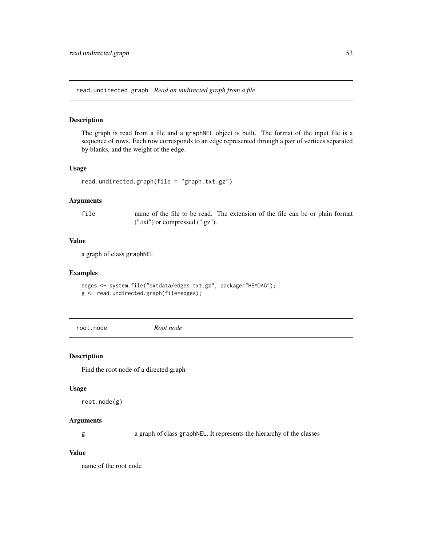read.undirected.graph *Read an undirected graph from a file*

#### Description

The graph is read from a file and a graphNEL object is built. The format of the input file is a sequence of rows. Each row corresponds to an edge represented through a pair of vertices separated by blanks, and the weight of the edge.

#### Usage

```
read.undirected.graph(file = "graph.txt.gz")
```
### Arguments

file name of the file to be read. The extension of the file can be or plain format (".txt") or compressed (".gz").

### Value

a graph of class graphNEL

### Examples

```
edges <- system.file("extdata/edges.txt.gz", package="HEMDAG");
g <- read.undirected.graph(file=edges);
```
root.node *Root node*

### Description

Find the root node of a directed graph

#### Usage

root.node(g)

### Arguments

g a graph of class graphNEL. It represents the hierarchy of the classes

### Value

name of the root node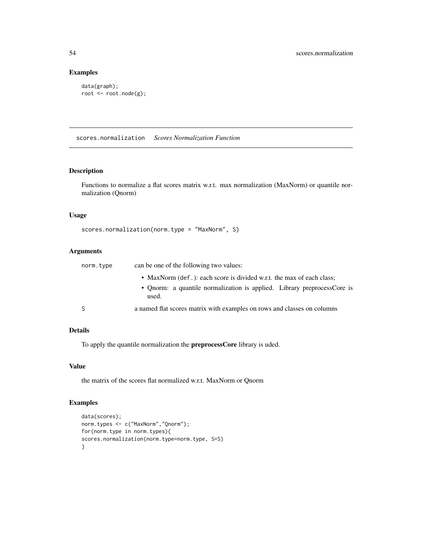### Examples

```
data(graph);
root <- root.node(g);
```
scores.normalization *Scores Normalization Function*

### Description

Functions to normalize a flat scores matrix w.r.t. max normalization (MaxNorm) or quantile normalization (Qnorm)

### Usage

```
scores.normalization(norm.type = "MaxNorm", S)
```
### Arguments

| norm.type | can be one of the following two values:                                                                                                                   |
|-----------|-----------------------------------------------------------------------------------------------------------------------------------------------------------|
|           | • MaxNorm (def.): each score is divided w.r.t. the max of each class;<br>• Qnorm: a quantile normalization is applied. Library preprocessCore is<br>used. |
|           | a named flat scores matrix with examples on rows and classes on columns                                                                                   |

### Details

To apply the quantile normalization the preprocessCore library is uded.

#### Value

the matrix of the scores flat normalized w.r.t. MaxNorm or Qnorm

```
data(scores);
norm.types <- c("MaxNorm","Qnorm");
for(norm.type in norm.types){
scores.normalization(norm.type=norm.type, S=S)
}
```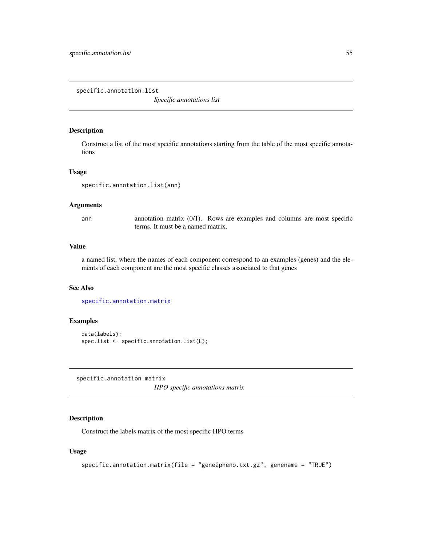specific.annotation.list

*Specific annotations list*

#### Description

Construct a list of the most specific annotations starting from the table of the most specific annotations

#### Usage

```
specific.annotation.list(ann)
```
#### Arguments

ann annotation matrix (0/1). Rows are examples and columns are most specific terms. It must be a named matrix.

### Value

a named list, where the names of each component correspond to an examples (genes) and the elements of each component are the most specific classes associated to that genes

### See Also

[specific.annotation.matrix](#page-54-0)

#### Examples

```
data(labels);
spec.list <- specific.annotation.list(L);
```
<span id="page-54-0"></span>specific.annotation.matrix *HPO specific annotations matrix*

### Description

Construct the labels matrix of the most specific HPO terms

### Usage

```
specific.annotation.matrix(file = "gene2pheno.txt.gz", genename = "TRUE")
```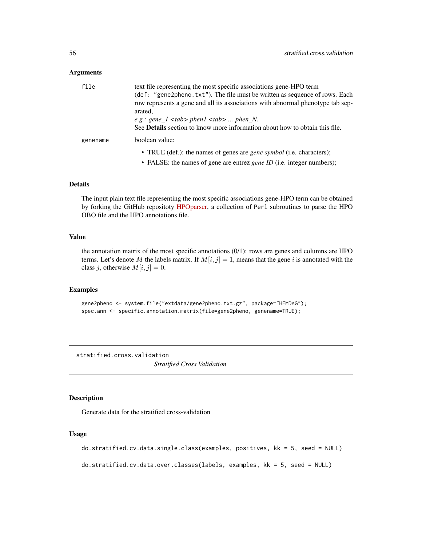#### <span id="page-55-0"></span>Arguments

| file     | text file representing the most specific associations gene-HPO term<br>(def: "gene2pheno.txt"). The file must be written as sequence of rows. Each<br>row represents a gene and all its associations with abnormal phenotype tab sep-<br>arated,<br>e.g.: gene $1$ <tab> phen<math>1</math> <tab>  phen N.<br/>See Details section to know more information about how to obtain this file.</tab></tab> |
|----------|--------------------------------------------------------------------------------------------------------------------------------------------------------------------------------------------------------------------------------------------------------------------------------------------------------------------------------------------------------------------------------------------------------|
| genename | boolean value:                                                                                                                                                                                                                                                                                                                                                                                         |
|          | • TRUE (def.): the names of genes are <i>gene symbol</i> (i.e. characters);<br>• FALSE: the names of gene are entrez <i>gene ID</i> (i.e. integer numbers);                                                                                                                                                                                                                                            |

#### Details

The input plain text file representing the most specific associations gene-HPO term can be obtained by forking the GitHub repositoty [HPOparser,](https://github.com/marconotaro/HPOparser) a collection of Perl subroutines to parse the HPO OBO file and the HPO annotations file.

### Value

the annotation matrix of the most specific annotations  $(0/1)$ : rows are genes and columns are HPO terms. Let's denote M the labels matrix. If  $M[i, j] = 1$ , means that the gene i is annotated with the class j, otherwise  $M[i, j] = 0$ .

### Examples

```
gene2pheno <- system.file("extdata/gene2pheno.txt.gz", package="HEMDAG");
spec.ann <- specific.annotation.matrix(file=gene2pheno, genename=TRUE);
```
stratified.cross.validation *Stratified Cross Validation*

### Description

Generate data for the stratified cross-validation

#### Usage

```
do.stratified.cv.data.single.class(examples, positives, kk = 5, seed = NULL)
```
do.stratified.cv.data.over.classes(labels, examples, kk = 5, seed = NULL)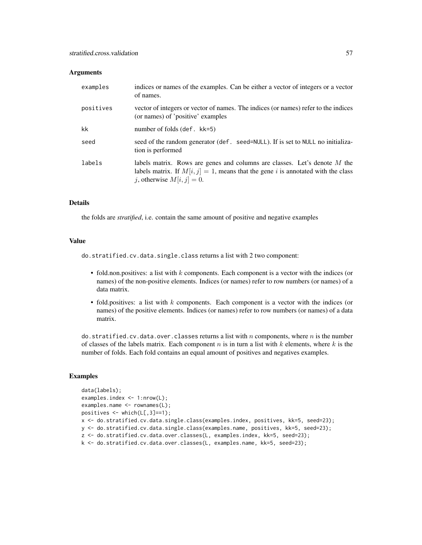#### **Arguments**

| examples  | indices or names of the examples. Can be either a vector of integers or a vector<br>of names.                                                                                                    |
|-----------|--------------------------------------------------------------------------------------------------------------------------------------------------------------------------------------------------|
| positives | vector of integers or vector of names. The indices (or names) refer to the indices<br>(or names) of 'positive' examples                                                                          |
| kk        | number of folds $(\text{def. kk=5})$                                                                                                                                                             |
| seed      | seed of the random generator (def. seed=NULL). If is set to NULL no initializa-<br>tion is performed                                                                                             |
| labels    | labels matrix. Rows are genes and columns are classes. Let's denote M the<br>labels matrix. If $M[i, j] = 1$ , means that the gene i is annotated with the class<br>j, otherwise $M[i, j] = 0$ . |

### Details

the folds are *stratified*, i.e. contain the same amount of positive and negative examples

### Value

do.stratified.cv.data.single.class returns a list with 2 two component:

- fold.non.positives: a list with  $k$  components. Each component is a vector with the indices (or names) of the non-positive elements. Indices (or names) refer to row numbers (or names) of a data matrix.
- fold.positives: a list with  $k$  components. Each component is a vector with the indices (or names) of the positive elements. Indices (or names) refer to row numbers (or names) of a data matrix.

do.stratified.cv.data.over.classes returns a list with  $n$  components, where  $n$  is the number of classes of the labels matrix. Each component  $n$  is in turn a list with  $k$  elements, where  $k$  is the number of folds. Each fold contains an equal amount of positives and negatives examples.

```
data(labels);
examples.index <- 1:nrow(L);
examples.name <- rownames(L);
positives <- which(L[,3]==1);
x <- do.stratified.cv.data.single.class(examples.index, positives, kk=5, seed=23);
y <- do.stratified.cv.data.single.class(examples.name, positives, kk=5, seed=23);
z <- do.stratified.cv.data.over.classes(L, examples.index, kk=5, seed=23);
k <- do.stratified.cv.data.over.classes(L, examples.name, kk=5, seed=23);
```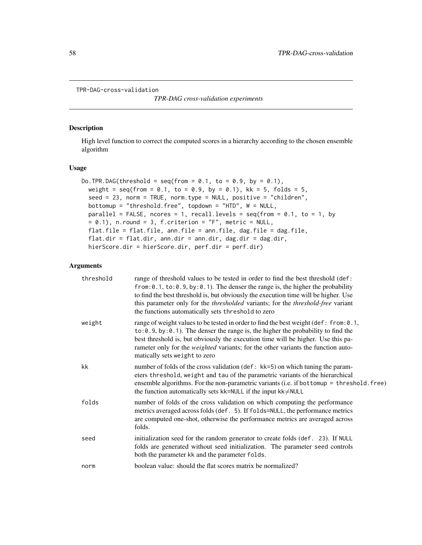```
TPR-DAG-cross-validation
```
*TPR-DAG cross-validation experiments*

### Description

High level function to correct the computed scores in a hierarchy according to the chosen ensemble algorithm

### Usage

```
Do.TPR.DAG(threshold = seq(from = 0.1, to = 0.9, by = 0.1),
 weight = seq(from = 0.1, to = 0.9, by = 0.1), kk = 5, folds = 5,seed = 23, norm = TRUE, norm.type = NULL, positive = "children",
 bottomup = "threshold.free", topdown = "HTD", W = NULL,
 parallel = FALSE, ncores = 1, recall.levels = seq(from = 0.1, to = 1, by= 0.1), n.round = 3, f.criterion = "F", metric = NULL,
 flat.file = flat.file, ann.file = ann.file, dag.file = dag.file,
  flat.dir = flat.dir, ann.dir = ann.dir, dag.dir = dag.dir,
 hierScore.dir = hierScore.dir, perf.dir = perf.dir)
```
### Arguments

| threshold | range of threshold values to be tested in order to find the best threshold (def:<br>from: $0.1$ , to: $0.9$ , by: $0.1$ ). The denser the range is, the higher the probability<br>to find the best threshold is, but obviously the execution time will be higher. Use<br>this parameter only for the <i>thresholded</i> variants; for the <i>threshold-free</i> variant<br>the functions automatically sets threshold to zero |
|-----------|-------------------------------------------------------------------------------------------------------------------------------------------------------------------------------------------------------------------------------------------------------------------------------------------------------------------------------------------------------------------------------------------------------------------------------|
| weight    | range of weight values to be tested in order to find the best weight (def: from: 0.1,<br>$to: 0.9$ , by: 0.1). The denser the range is, the higher the probability to find the<br>best threshold is, but obviously the execution time will be higher. Use this pa-<br>rameter only for the <i>weighted</i> variants; for the other variants the function auto-<br>matically sets weight to zero                               |
| kk        | number of folds of the cross validation (def: kk=5) on which tuning the param-<br>eters threshold, weight and tau of the parametric variants of the hierarchical<br>ensemble algorithms. For the non-parametric variants (i.e. if bottomup = threshold. free)<br>the function automatically sets kk=NULL if the input kk/NULL                                                                                                 |
| folds     | number of folds of the cross validation on which computing the performance<br>metrics averaged across folds (def. 5). If folds=NULL, the performance metrics<br>are computed one-shot, otherwise the performance metrics are averaged across<br>folds.                                                                                                                                                                        |
| seed      | initialization seed for the random generator to create folds (def. 23). If NULL<br>folds are generated without seed initialization. The parameter seed controls<br>both the parameter kk and the parameter folds.                                                                                                                                                                                                             |
| norm      | boolean value: should the flat scores matrix be normalized?                                                                                                                                                                                                                                                                                                                                                                   |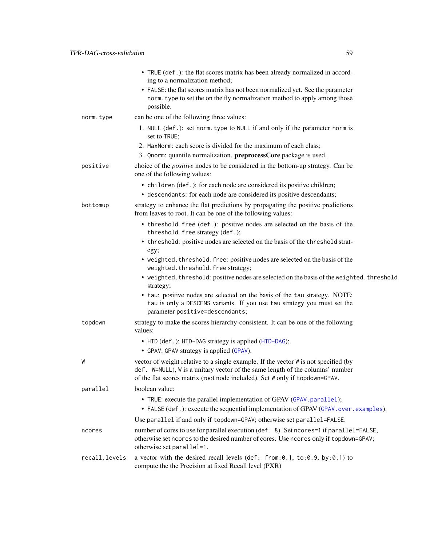<span id="page-58-0"></span>

|               | • TRUE (def.): the flat scores matrix has been already normalized in accord-<br>ing to a normalization method;<br>• FALSE: the flat scores matrix has not been normalized yet. See the parameter<br>norm. type to set the on the fly normalization method to apply among those<br>possible. |
|---------------|---------------------------------------------------------------------------------------------------------------------------------------------------------------------------------------------------------------------------------------------------------------------------------------------|
| norm.type     | can be one of the following three values:                                                                                                                                                                                                                                                   |
|               | 1. NULL (def.): set norm. type to NULL if and only if the parameter norm is<br>set to TRUE;                                                                                                                                                                                                 |
|               | 2. MaxNorm: each score is divided for the maximum of each class;                                                                                                                                                                                                                            |
|               | 3. Qnorm: quantile normalization. preprocessCore package is used.                                                                                                                                                                                                                           |
| positive      | choice of the <i>positive</i> nodes to be considered in the bottom-up strategy. Can be<br>one of the following values:                                                                                                                                                                      |
|               | • children (def.): for each node are considered its positive children;                                                                                                                                                                                                                      |
|               | • descendants: for each node are considered its positive descendants;                                                                                                                                                                                                                       |
| bottomup      | strategy to enhance the flat predictions by propagating the positive predictions<br>from leaves to root. It can be one of the following values:                                                                                                                                             |
|               | • threshold. free (def.): positive nodes are selected on the basis of the<br>threshold. free strategy (def.);                                                                                                                                                                               |
|               | • threshold: positive nodes are selected on the basis of the threshold strat-<br>egy;                                                                                                                                                                                                       |
|               | • weighted. threshold. free: positive nodes are selected on the basis of the<br>weighted.threshold.free strategy;                                                                                                                                                                           |
|               | • weighted. threshold: positive nodes are selected on the basis of the weighted. threshold<br>strategy;                                                                                                                                                                                     |
|               | • tau: positive nodes are selected on the basis of the tau strategy. NOTE:<br>tau is only a DESCENS variants. If you use tau strategy you must set the<br>parameter positive=descendants;                                                                                                   |
| topdown       | strategy to make the scores hierarchy-consistent. It can be one of the following<br>values:                                                                                                                                                                                                 |
|               | • HTD (def.): HTD-DAG strategy is applied (HTD-DAG);<br>• GPAV: GPAV strategy is applied (GPAV).                                                                                                                                                                                            |
| W             | vector of weight relative to a single example. If the vector W is not specified (by<br>def. W=NULL), W is a unitary vector of the same length of the columns' number<br>of the flat scores matrix (root node included). Set W only if topdown=GPAV.                                         |
| parallel      | boolean value:                                                                                                                                                                                                                                                                              |
|               | • TRUE: execute the parallel implementation of GPAV (GPAV. parallel);<br>• FALSE (def.): execute the sequential implementation of GPAV (GPAV.over.examples).                                                                                                                                |
|               | Use parallel if and only if topdown=GPAV; otherwise set parallel=FALSE.                                                                                                                                                                                                                     |
| ncores        | number of cores to use for parallel execution (def. 8). Set ncores=1 if parallel=FALSE,<br>otherwise set ncores to the desired number of cores. Use ncores only if topdown=GPAV;<br>otherwise set parallel=1.                                                                               |
| recall.levels | a vector with the desired recall levels (def: from: 0.1, to: 0.9, by: 0.1) to<br>compute the the Precision at fixed Recall level (PXR)                                                                                                                                                      |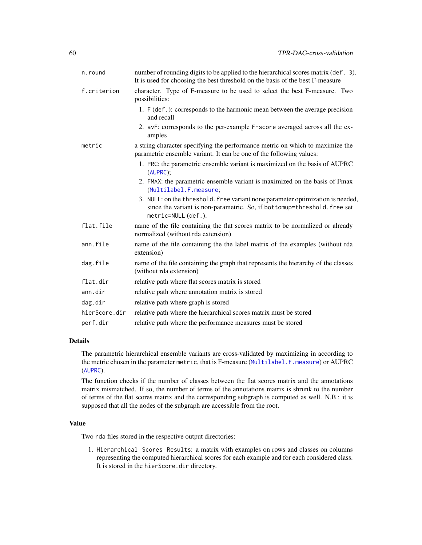<span id="page-59-0"></span>

| n.round       | number of rounding digits to be applied to the hierarchical scores matrix (def. 3).<br>It is used for choosing the best threshold on the basis of the best F-measure              |
|---------------|-----------------------------------------------------------------------------------------------------------------------------------------------------------------------------------|
| f.criterion   | character. Type of F-measure to be used to select the best F-measure. Two<br>possibilities:                                                                                       |
|               | 1. F (def.): corresponds to the harmonic mean between the average precision<br>and recall                                                                                         |
|               | 2. avF: corresponds to the per-example F-score averaged across all the ex-<br>amples                                                                                              |
| metric        | a string character specifying the performance metric on which to maximize the<br>parametric ensemble variant. It can be one of the following values:                              |
|               | 1. PRC: the parametric ensemble variant is maximized on the basis of AUPRC<br>(AUPRC)                                                                                             |
|               | 2. FMAX: the parametric ensemble variant is maximized on the basis of Fmax<br>(Multilabel.F.measure;                                                                              |
|               | 3. NULL: on the threshold. free variant none parameter optimization is needed,<br>since the variant is non-parametric. So, if bottomup=threshold. free set<br>metric=NULL (def.). |
| flat.file     | name of the file containing the flat scores matrix to be normalized or already<br>normalized (without rda extension)                                                              |
| ann.file      | name of the file containing the the label matrix of the examples (without rda<br>extension)                                                                                       |
| dag.file      | name of the file containing the graph that represents the hierarchy of the classes<br>(without rda extension)                                                                     |
| flat.dir      | relative path where flat scores matrix is stored                                                                                                                                  |
| ann.dir       | relative path where annotation matrix is stored                                                                                                                                   |
| dag.dir       | relative path where graph is stored                                                                                                                                               |
| hierScore.dir | relative path where the hierarchical scores matrix must be stored                                                                                                                 |
| perf.dir      | relative path where the performance measures must be stored                                                                                                                       |

### Details

The parametric hierarchical ensemble variants are cross-validated by maximizing in according to the metric chosen in the parameter metric, that is F-measure ([Multilabel.F.measure](#page-47-0)) or AUPRC ([AUPRC](#page-5-0)).

The function checks if the number of classes between the flat scores matrix and the annotations matrix mismatched. If so, the number of terms of the annotations matrix is shrunk to the number of terms of the flat scores matrix and the corresponding subgraph is computed as well. N.B.: it is supposed that all the nodes of the subgraph are accessible from the root.

### Value

Two rda files stored in the respective output directories:

1. Hierarchical Scores Results: a matrix with examples on rows and classes on columns representing the computed hierarchical scores for each example and for each considered class. It is stored in the hierScore.dir directory.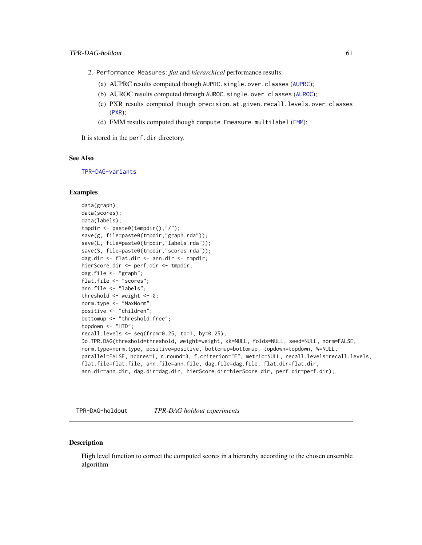- <span id="page-60-0"></span>2. Performance Measures: *flat* and *hierarchical* performance results:
	- (a) [AUPRC](#page-5-0) results computed though AUPRC.single.over.classes (AUPRC);
	- (b) [AUROC](#page-6-0) results computed through AUROC.single.over.classes (AUROC);
	- (c) PXR results computed though precision.at.given.recall.levels.over.classes ([PXR](#page-50-0));
	- (d) [FMM](#page-36-0) results computed though compute. Fmeasure.multilabel (FMM);

It is stored in the perf.dir directory.

### See Also

[TPR-DAG-variants](#page-64-1)

#### Examples

```
data(graph);
data(scores);
data(labels);
tmpdir <- paste0(tempdir(),"/");
save(g, file=paste0(tmpdir,"graph.rda"));
save(L, file=paste0(tmpdir,"labels.rda"));
save(S, file=paste0(tmpdir,"scores.rda"));
dag.dir <- flat.dir <- ann.dir <- tmpdir;
hierScore.dir <- perf.dir <- tmpdir;
dag.file <- "graph";
flat.file <- "scores";
ann.file <- "labels";
threshold \leq weight \leq 0;
norm.type <- "MaxNorm";
positive <- "children";
bottomup <- "threshold.free";
topdown <- "HTD";
recall.levels \leq seq(from=0.25, to=1, by=0.25);
Do.TPR.DAG(threshold=threshold, weight=weight, kk=NULL, folds=NULL, seed=NULL, norm=FALSE,
norm.type=norm.type, positive=positive, bottomup=bottomup, topdown=topdown, W=NULL,
parallel=FALSE, ncores=1, n.round=3, f.criterion="F", metric=NULL, recall.levels=recall.levels,
flat.file=flat.file, ann.file=ann.file, dag.file=dag.file, flat.dir=flat.dir,
ann.dir=ann.dir, dag.dir=dag.dir, hierScore.dir=hierScore.dir, perf.dir=perf.dir);
```
TPR-DAG-holdout *TPR-DAG holdout experiments*

#### Description

High level function to correct the computed scores in a hierarchy according to the chosen ensemble algorithm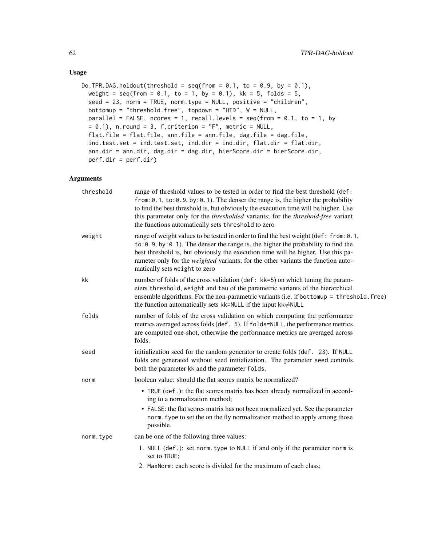### Usage

```
Do.TPR.DAG.holdout(threshold = seq(from = 0.1, to = 0.9, by = 0.1),
 weight = seq(from = 0.1, to = 1, by = 0.1), kk = 5, folds = 5,
  seed = 23, norm = TRUE, norm.type = NULL, positive = "children",
 bottomup = "threshold.free", topdown = "HTD", W = NULL,
 parallel = FALSE, ncores = 1, recall.levels = seq(from = 0.1, to = 1, by= 0.1), n.round = 3, f.criterion = "F", metric = NULL,
 flat.file = flat.file, ann.file = ann.file, dag.file = dag.file,
  ind.test.set = ind.test.set, ind.dir = ind.dir, flat.dir = flat.dir,
  ann.dir = ann.dir, dag.dir = dag.dir, hierScore.dir = hierScore.dir,
 perf.dir = perf.dir)
```
### Arguments

| threshold | range of threshold values to be tested in order to find the best threshold (def:<br>from: $0.1$ , to: $0.9$ , by: $0.1$ ). The denser the range is, the higher the probability<br>to find the best threshold is, but obviously the execution time will be higher. Use<br>this parameter only for the <i>thresholded</i> variants; for the <i>threshold-free</i> variant<br>the functions automatically sets threshold to zero |
|-----------|-------------------------------------------------------------------------------------------------------------------------------------------------------------------------------------------------------------------------------------------------------------------------------------------------------------------------------------------------------------------------------------------------------------------------------|
| weight    | range of weight values to be tested in order to find the best weight (def: from: 0.1,<br>$to: 0.9$ , by: 0.1). The denser the range is, the higher the probability to find the<br>best threshold is, but obviously the execution time will be higher. Use this pa-<br>rameter only for the <i>weighted</i> variants; for the other variants the function auto-<br>matically sets weight to zero                               |
| kk        | number of folds of the cross validation (def: kk=5) on which tuning the param-<br>eters threshold, weight and tau of the parametric variants of the hierarchical<br>ensemble algorithms. For the non-parametric variants (i.e. if bottomup = threshold. free)<br>the function automatically sets kk=NULL if the input $kk \neq NULL$                                                                                          |
| folds     | number of folds of the cross validation on which computing the performance<br>metrics averaged across folds (def. 5). If folds=NULL, the performance metrics<br>are computed one-shot, otherwise the performance metrics are averaged across<br>folds.                                                                                                                                                                        |
| seed      | initialization seed for the random generator to create folds (def. 23). If NULL<br>folds are generated without seed initialization. The parameter seed controls<br>both the parameter kk and the parameter folds.                                                                                                                                                                                                             |
| norm      | boolean value: should the flat scores matrix be normalized?                                                                                                                                                                                                                                                                                                                                                                   |
|           | • TRUE (def.): the flat scores matrix has been already normalized in accord-<br>ing to a normalization method;<br>• FALSE: the flat scores matrix has not been normalized yet. See the parameter<br>norm. type to set the on the fly normalization method to apply among those<br>possible.                                                                                                                                   |
| norm.type | can be one of the following three values:                                                                                                                                                                                                                                                                                                                                                                                     |
|           | 1. NULL (def.): set norm. type to NULL if and only if the parameter norm is<br>set to TRUE;                                                                                                                                                                                                                                                                                                                                   |
|           | 2. MaxNorm: each score is divided for the maximum of each class;                                                                                                                                                                                                                                                                                                                                                              |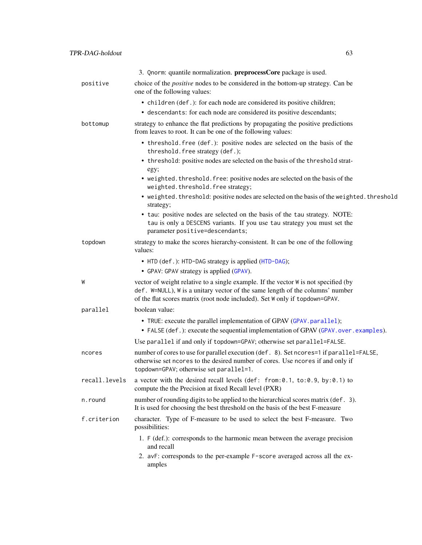<span id="page-62-0"></span>

|               | 3. Qnorm: quantile normalization. preprocessCore package is used.                                                                                                                                                                                   |
|---------------|-----------------------------------------------------------------------------------------------------------------------------------------------------------------------------------------------------------------------------------------------------|
| positive      | choice of the <i>positive</i> nodes to be considered in the bottom-up strategy. Can be<br>one of the following values:                                                                                                                              |
|               | • children (def.): for each node are considered its positive children;                                                                                                                                                                              |
|               | • descendants: for each node are considered its positive descendants;                                                                                                                                                                               |
| bottomup      | strategy to enhance the flat predictions by propagating the positive predictions<br>from leaves to root. It can be one of the following values:                                                                                                     |
|               | • threshold. free (def.): positive nodes are selected on the basis of the<br>threshold. free strategy (def.);                                                                                                                                       |
|               | • threshold: positive nodes are selected on the basis of the threshold strat-<br>egy;                                                                                                                                                               |
|               | • weighted. threshold. free: positive nodes are selected on the basis of the<br>weighted.threshold.free strategy;                                                                                                                                   |
|               | • weighted. threshold: positive nodes are selected on the basis of the weighted. threshold<br>strategy;                                                                                                                                             |
|               | • tau: positive nodes are selected on the basis of the tau strategy. NOTE:<br>tau is only a DESCENS variants. If you use tau strategy you must set the<br>parameter positive=descendants;                                                           |
| topdown       | strategy to make the scores hierarchy-consistent. It can be one of the following<br>values:                                                                                                                                                         |
|               | • HTD (def.): HTD-DAG strategy is applied (HTD-DAG);                                                                                                                                                                                                |
|               | • GPAV: GPAV strategy is applied (GPAV).                                                                                                                                                                                                            |
| W             | vector of weight relative to a single example. If the vector W is not specified (by<br>def. W=NULL), W is a unitary vector of the same length of the columns' number<br>of the flat scores matrix (root node included). Set W only if topdown=GPAV. |
| parallel      | boolean value:                                                                                                                                                                                                                                      |
|               | • TRUE: execute the parallel implementation of GPAV (GPAV.parallel);<br>• FALSE (def.): execute the sequential implementation of GPAV (GPAV.over.examples).                                                                                         |
|               |                                                                                                                                                                                                                                                     |
|               | Use parallel if and only if topdown=GPAV; otherwise set parallel=FALSE.                                                                                                                                                                             |
| ncores        | number of cores to use for parallel execution (def. 8). Set ncores=1 if parallel=FALSE,<br>otherwise set ncores to the desired number of cores. Use ncores if and only if<br>topdown=GPAV; otherwise set parallel=1.                                |
| recall.levels | a vector with the desired recall levels (def: from: 0.1, to: 0.9, by: 0.1) to<br>compute the the Precision at fixed Recall level (PXR)                                                                                                              |
| n.round       | number of rounding digits to be applied to the hierarchical scores matrix (def. 3).<br>It is used for choosing the best threshold on the basis of the best F-measure                                                                                |
| f.criterion   | character. Type of F-measure to be used to select the best F-measure. Two<br>possibilities:                                                                                                                                                         |
|               | 1. F (def.): corresponds to the harmonic mean between the average precision<br>and recall                                                                                                                                                           |
|               | 2. avF: corresponds to the per-example F-score averaged across all the ex-<br>amples                                                                                                                                                                |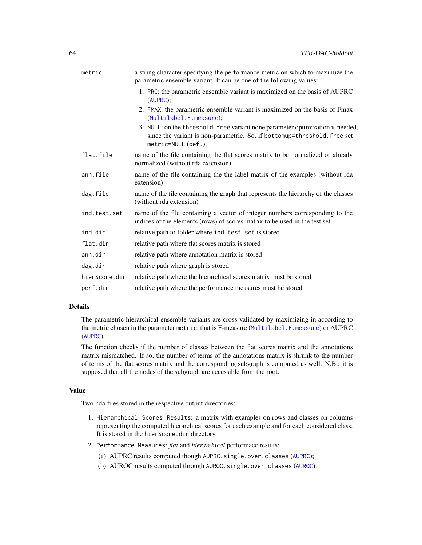<span id="page-63-0"></span>

| metric        | a string character specifying the performance metric on which to maximize the<br>parametric ensemble variant. It can be one of the following values:                             |
|---------------|----------------------------------------------------------------------------------------------------------------------------------------------------------------------------------|
|               | 1. PRC: the parametric ensemble variant is maximized on the basis of AUPRC<br>(AUPRC)                                                                                            |
|               | 2. FMAX: the parametric ensemble variant is maximized on the basis of Fmax<br>(Multilabel.F.measure);                                                                            |
|               | 3. NULL: on the threshold. free variant none parameter optimization is needed,<br>since the variant is non-parametric. So, if bottomup=threshold. free set<br>metric=NULL(def.). |
| flat.file     | name of the file containing the flat scores matrix to be normalized or already<br>normalized (without rda extension)                                                             |
| ann.file      | name of the file containing the the label matrix of the examples (without rda<br>extension)                                                                                      |
| dag.file      | name of the file containing the graph that represents the hierarchy of the classes<br>(without rda extension)                                                                    |
| ind.test.set  | name of the file containing a vector of integer numbers corresponding to the<br>indices of the elements (rows) of scores matrix to be used in the test set                       |
| ind.dir       | relative path to folder where ind. test. set is stored                                                                                                                           |
| flat.dir      | relative path where flat scores matrix is stored                                                                                                                                 |
| ann.dir       | relative path where annotation matrix is stored                                                                                                                                  |
| dag.dir       | relative path where graph is stored                                                                                                                                              |
| hierScore.dir | relative path where the hierarchical scores matrix must be stored                                                                                                                |
| perf.dir      | relative path where the performance measures must be stored                                                                                                                      |
|               |                                                                                                                                                                                  |

### Details

The parametric hierarchical ensemble variants are cross-validated by maximizing in according to the metric chosen in the parameter metric, that is F-measure ([Multilabel.F.measure](#page-47-0)) or AUPRC ([AUPRC](#page-5-0)).

The function checks if the number of classes between the flat scores matrix and the annotations matrix mismatched. If so, the number of terms of the annotations matrix is shrunk to the number of terms of the flat scores matrix and the corresponding subgraph is computed as well. N.B.: it is supposed that all the nodes of the subgraph are accessible from the root.

#### Value

Two rda files stored in the respective output directories:

- 1. Hierarchical Scores Results: a matrix with examples on rows and classes on columns representing the computed hierarchical scores for each example and for each considered class. It is stored in the hierScore.dir directory.
- 2. Performance Measures: *flat* and *hierarchical* performace results:
	- (a) [AUPRC](#page-5-0) results computed though AUPRC.single.over.classes (AUPRC);
	- (b) [AUROC](#page-6-0) results computed through AUROC.single.over.classes (AUROC);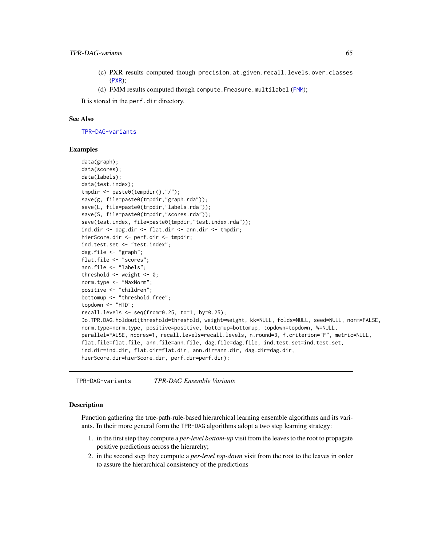- <span id="page-64-2"></span>(c) PXR results computed though precision.at.given.recall.levels.over.classes ([PXR](#page-50-0));
- (d) [FMM](#page-36-0) results computed though compute. Fmeasure.multilabel (FMM);

It is stored in the perf.dir directory.

#### See Also

[TPR-DAG-variants](#page-64-1)

#### Examples

```
data(graph);
data(scores);
data(labels);
data(test.index);
tmpdir <- paste0(tempdir(),"/");
save(g, file=paste0(tmpdir,"graph.rda"));
save(L, file=paste0(tmpdir,"labels.rda"));
save(S, file=paste0(tmpdir,"scores.rda"));
save(test.index, file=paste0(tmpdir,"test.index.rda"));
ind.dir <- dag.dir <- flat.dir <- ann.dir <- tmpdir;
hierScore.dir <- perf.dir <- tmpdir;
ind.test.set <- "test.index";
dag.file <- "graph";
flat.file <- "scores";
ann.file <- "labels";
threshold \leq weight \leq 0;
norm.type <- "MaxNorm";
positive <- "children";
bottomup <- "threshold.free";
topdown <- "HTD";
recall. levels < -seq(from=0.25, to=1, by=0.25);Do.TPR.DAG.holdout(threshold=threshold, weight=weight, kk=NULL, folds=NULL, seed=NULL, norm=FALSE,
norm.type=norm.type, positive=positive, bottomup=bottomup, topdown=topdown, W=NULL,
parallel=FALSE, ncores=1, recall.levels=recall.levels, n.round=3, f.criterion="F", metric=NULL,
flat.file=flat.file, ann.file=ann.file, dag.file=dag.file, ind.test.set=ind.test.set,
ind.dir=ind.dir, flat.dir=flat.dir, ann.dir=ann.dir, dag.dir=dag.dir,
hierScore.dir=hierScore.dir, perf.dir=perf.dir);
```
<span id="page-64-1"></span>TPR-DAG-variants *TPR-DAG Ensemble Variants*

#### <span id="page-64-0"></span>Description

Function gathering the true-path-rule-based hierarchical learning ensemble algorithms and its variants. In their more general form the TPR-DAG algorithms adopt a two step learning strategy:

- 1. in the first step they compute a *per-level bottom-up* visit from the leaves to the root to propagate positive predictions across the hierarchy;
- 2. in the second step they compute a *per-level top-down* visit from the root to the leaves in order to assure the hierarchical consistency of the predictions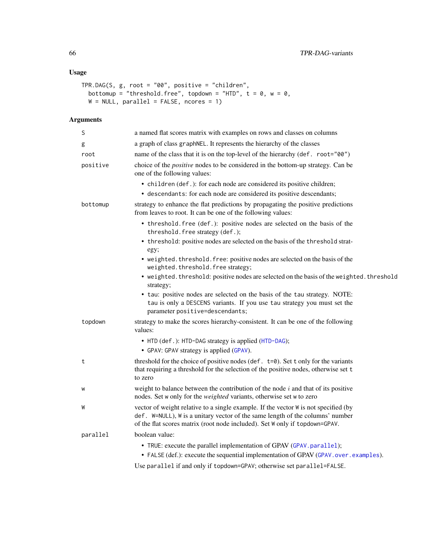### <span id="page-65-0"></span>Usage

```
TPR.DAG(S, g, root = "00", positive = "children",
  bottomup = "threshold.free", topdown = "HTD", t = 0, w = 0,
  W = NULL, parallel = FALSE, ncores = 1)
```
## Arguments

| S        | a named flat scores matrix with examples on rows and classes on columns                                                                                                                                                                             |
|----------|-----------------------------------------------------------------------------------------------------------------------------------------------------------------------------------------------------------------------------------------------------|
| g        | a graph of class graphNEL. It represents the hierarchy of the classes                                                                                                                                                                               |
| root     | name of the class that it is on the top-level of the hierarchy (def. root="00")                                                                                                                                                                     |
| positive | choice of the <i>positive</i> nodes to be considered in the bottom-up strategy. Can be<br>one of the following values:                                                                                                                              |
|          | • children (def.): for each node are considered its positive children;                                                                                                                                                                              |
|          | • descendants: for each node are considered its positive descendants;                                                                                                                                                                               |
| bottomup | strategy to enhance the flat predictions by propagating the positive predictions<br>from leaves to root. It can be one of the following values:                                                                                                     |
|          | • threshold. free (def.): positive nodes are selected on the basis of the<br>threshold. free strategy (def.);                                                                                                                                       |
|          | • threshold: positive nodes are selected on the basis of the threshold strat-<br>egy;                                                                                                                                                               |
|          | • weighted. threshold. free: positive nodes are selected on the basis of the<br>weighted.threshold.free strategy;                                                                                                                                   |
|          | • weighted. threshold: positive nodes are selected on the basis of the weighted. threshold<br>strategy;                                                                                                                                             |
|          | • tau: positive nodes are selected on the basis of the tau strategy. NOTE:<br>tau is only a DESCENS variants. If you use tau strategy you must set the<br>parameter positive=descendants;                                                           |
| topdown  | strategy to make the scores hierarchy-consistent. It can be one of the following<br>values:                                                                                                                                                         |
|          | • HTD (def.): HTD-DAG strategy is applied (HTD-DAG);                                                                                                                                                                                                |
|          | • GPAV: GPAV strategy is applied (GPAV).                                                                                                                                                                                                            |
| t        | threshold for the choice of positive nodes (def. $t=0$ ). Set t only for the variants<br>that requiring a threshold for the selection of the positive nodes, otherwise set t<br>to zero                                                             |
| W        | weight to balance between the contribution of the node $i$ and that of its positive<br>nodes. Set w only for the weighted variants, otherwise set w to zero                                                                                         |
| W        | vector of weight relative to a single example. If the vector W is not specified (by<br>def. W=NULL), W is a unitary vector of the same length of the columns' number<br>of the flat scores matrix (root node included). Set W only if topdown=GPAV. |
| parallel | boolean value:                                                                                                                                                                                                                                      |
|          | • TRUE: execute the parallel implementation of GPAV (GPAV.parallel);                                                                                                                                                                                |
|          | • FALSE (def.): execute the sequential implementation of GPAV (GPAV . over . examples).                                                                                                                                                             |
|          | Use parallel if and only if topdown=GPAV; otherwise set parallel=FALSE.                                                                                                                                                                             |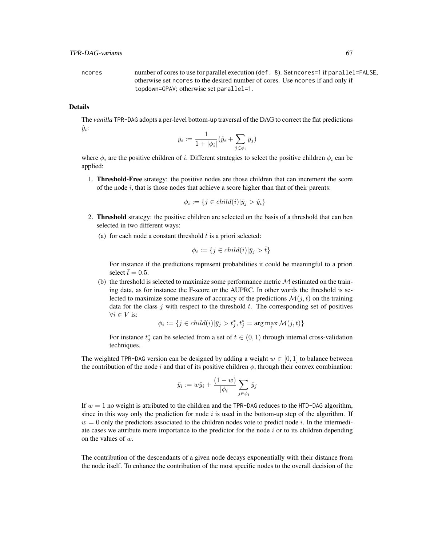ncores number of cores to use for parallel execution (def. 8). Set ncores=1 if parallel=FALSE, otherwise set ncores to the desired number of cores. Use ncores if and only if topdown=GPAV; otherwise set parallel=1.

### Details

The *vanilla* TPR-DAG adopts a per-level bottom-up traversal of the DAG to correct the flat predictions  $\hat{y}_i$ :

$$
\bar{y}_i := \frac{1}{1+|\phi_i|}(\hat{y}_i + \sum_{j \in \phi_i} \bar{y}_j)
$$

where  $\phi_i$  are the positive children of i. Different strategies to select the positive children  $\phi_i$  can be applied:

1. Threshold-Free strategy: the positive nodes are those children that can increment the score of the node  $i$ , that is those nodes that achieve a score higher than that of their parents:

$$
\phi_i := \{ j \in child(i) | \bar{y}_j > \hat{y}_i \}
$$

- 2. Threshold strategy: the positive children are selected on the basis of a threshold that can ben selected in two different ways:
	- (a) for each node a constant threshold  $\bar{t}$  is a priori selected:

$$
\phi_i := \{ j \in child(i) | \bar{y}_j > \bar{t} \}
$$

For instance if the predictions represent probabilities it could be meaningful to a priori select  $\bar{t}= 0.5$ .

(b) the threshold is selected to maximize some performance metric  $M$  estimated on the training data, as for instance the F-score or the AUPRC. In other words the threshold is selected to maximize some measure of accuracy of the predictions  $\mathcal{M}(j, t)$  on the training data for the class  $j$  with respect to the threshold  $t$ . The corresponding set of positives  $\forall i \in V$  is:

$$
\phi_i:=\{j\in child(i)|\bar{y}_j>t^*_j,t^*_j=\arg\max_t\mathcal{M}(j,t)\}
$$

For instance  $t_j^*$  can be selected from a set of  $t \in (0,1)$  through internal cross-validation techniques.

The weighted TPR-DAG version can be designed by adding a weight  $w \in [0,1]$  to balance between the contribution of the node i and that of its positive children  $\phi$ , through their convex combination:

$$
\bar{y}_i := w\hat{y}_i + \frac{(1-w)}{|\phi_i|} \sum_{j \in \phi_i} \bar{y}_j
$$

If  $w = 1$  no weight is attributed to the children and the TPR-DAG reduces to the HTD-DAG algorithm, since in this way only the prediction for node i is used in the bottom-up step of the algorithm. If  $w = 0$  only the predictors associated to the children nodes vote to predict node i. In the intermediate cases we attribute more importance to the predictor for the node  $i$  or to its children depending on the values of  $w$ .

The contribution of the descendants of a given node decays exponentially with their distance from the node itself. To enhance the contribution of the most specific nodes to the overall decision of the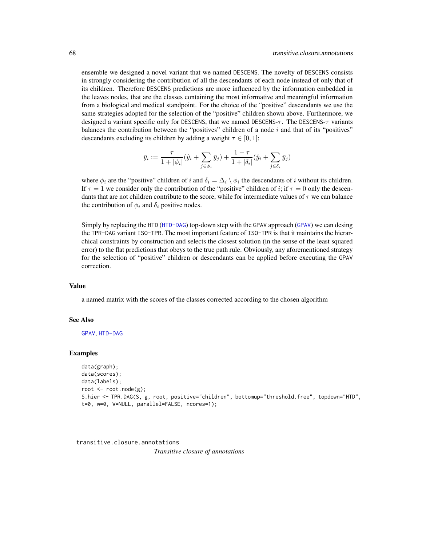<span id="page-67-1"></span>ensemble we designed a novel variant that we named DESCENS. The novelty of DESCENS consists in strongly considering the contribution of all the descendants of each node instead of only that of its children. Therefore DESCENS predictions are more influenced by the information embedded in the leaves nodes, that are the classes containing the most informative and meaningful information from a biological and medical standpoint. For the choice of the "positive" descendants we use the same strategies adopted for the selection of the "positive" children shown above. Furthermore, we designed a variant specific only for DESCENS, that we named DESCENS- $\tau$ . The DESCENS- $\tau$  variants balances the contribution between the "positives" children of a node  $i$  and that of its "positives" descendants excluding its children by adding a weight  $\tau \in [0, 1]$ :

$$
\bar{y}_i := \frac{\tau}{1 + |\phi_i|} (\hat{y}_i + \sum_{j \in \phi_i} \bar{y}_j) + \frac{1 - \tau}{1 + |\delta_i|} (\hat{y}_i + \sum_{j \in \delta_i} \bar{y}_j)
$$

where  $\phi_i$  are the "positive" children of i and  $\delta_i = \Delta_i \setminus \phi_i$  the descendants of i without its children. If  $\tau = 1$  we consider only the contribution of the "positive" children of i; if  $\tau = 0$  only the descendants that are not children contribute to the score, while for intermediate values of  $\tau$  we can balance the contribution of  $\phi_i$  and  $\delta_i$  positive nodes.

Simply by replacing the HTD ([HTD-DAG](#page-46-0)) top-down step with the GPAV approach ([GPAV](#page-39-0)) we can desing the TPR-DAG variant ISO-TPR. The most important feature of ISO-TPR is that it maintains the hierarchical constraints by construction and selects the closest solution (in the sense of the least squared error) to the flat predictions that obeys to the true path rule. Obviously, any aforementioned strategy for the selection of "positive" children or descendants can be applied before executing the GPAV correction.

#### Value

a named matrix with the scores of the classes corrected according to the chosen algorithm

#### See Also

[GPAV](#page-39-0), [HTD-DAG](#page-46-0)

#### Examples

```
data(graph);
data(scores);
data(labels);
root <- root.node(g);
S.hier <- TPR.DAG(S, g, root, positive="children", bottomup="threshold.free", topdown="HTD",
t=0, w=0, W=NULL, parallel=FALSE, ncores=1);
```

```
transitive.closure.annotations
```
*Transitive closure of annotations*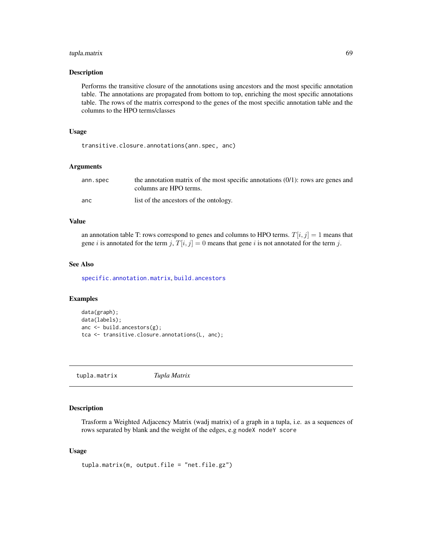### <span id="page-68-0"></span>tupla.matrix 69

#### Description

Performs the transitive closure of the annotations using ancestors and the most specific annotation table. The annotations are propagated from bottom to top, enriching the most specific annotations table. The rows of the matrix correspond to the genes of the most specific annotation table and the columns to the HPO terms/classes

#### Usage

transitive.closure.annotations(ann.spec, anc)

#### Arguments

| ann.spec | the annotation matrix of the most specific annotations $(0/1)$ : rows are genes and<br>columns are HPO terms. |
|----------|---------------------------------------------------------------------------------------------------------------|
| anc      | list of the ancestors of the ontology.                                                                        |

#### Value

an annotation table T: rows correspond to genes and columns to HPO terms.  $T[i, j] = 1$  means that gene i is annotated for the term j,  $T[i, j] = 0$  means that gene i is not annotated for the term j.

### See Also

[specific.annotation.matrix](#page-54-0), [build.ancestors](#page-4-0)

### Examples

```
data(graph);
data(labels);
anc <- build.ancestors(g);
tca <- transitive.closure.annotations(L, anc);
```
tupla.matrix *Tupla Matrix*

### Description

Trasform a Weighted Adjacency Matrix (wadj matrix) of a graph in a tupla, i.e. as a sequences of rows separated by blank and the weight of the edges, e.g nodeX nodeY score

#### Usage

```
tupla.matrix(m, output.file = "net.file.gz")
```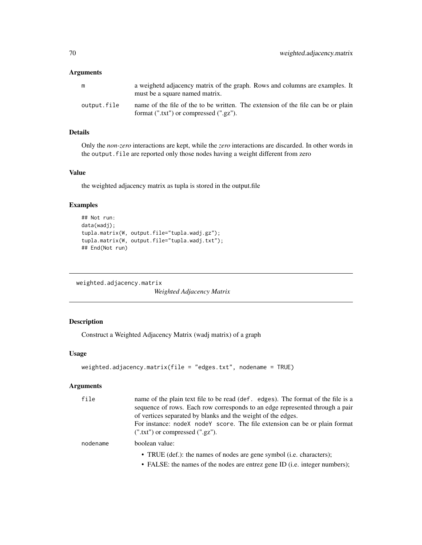### Arguments

| m           | a weighetd adjacency matrix of the graph. Rows and columns are examples. It<br>must be a square named matrix.                   |
|-------------|---------------------------------------------------------------------------------------------------------------------------------|
| output.file | name of the file of the to be written. The extension of the file can be or plain<br>format $(".txt")$ or compressed $(".gz")$ . |

### Details

Only the *non-zero* interactions are kept, while the *zero* interactions are discarded. In other words in the output.file are reported only those nodes having a weight different from zero

#### Value

the weighted adjacency matrix as tupla is stored in the output.file

### Examples

```
## Not run:
data(wadj);
tupla.matrix(W, output.file="tupla.wadj.gz");
tupla.matrix(W, output.file="tupla.wadj.txt");
## End(Not run)
```
<span id="page-69-0"></span>weighted.adjacency.matrix

*Weighted Adjacency Matrix*

### Description

Construct a Weighted Adjacency Matrix (wadj matrix) of a graph

### Usage

```
weighted.adjacency.matrix(file = "edges.txt", nodename = TRUE)
```
### Arguments

| file     | name of the plain text file to be read (def. edges). The format of the file is a<br>sequence of rows. Each row corresponds to an edge represented through a pair<br>of vertices separated by blanks and the weight of the edges.<br>For instance: nodeX nodeY score. The file extension can be or plain format<br>$(".txt")$ or compressed $(".gz").$ |
|----------|-------------------------------------------------------------------------------------------------------------------------------------------------------------------------------------------------------------------------------------------------------------------------------------------------------------------------------------------------------|
| nodename | boolean value:                                                                                                                                                                                                                                                                                                                                        |
|          | • TRUE (def.): the names of nodes are gene symbol (i.e. characters);<br>$\therefore$ DAI CD, the names of the neder are entired over ID C $\therefore$ integer numbers).                                                                                                                                                                              |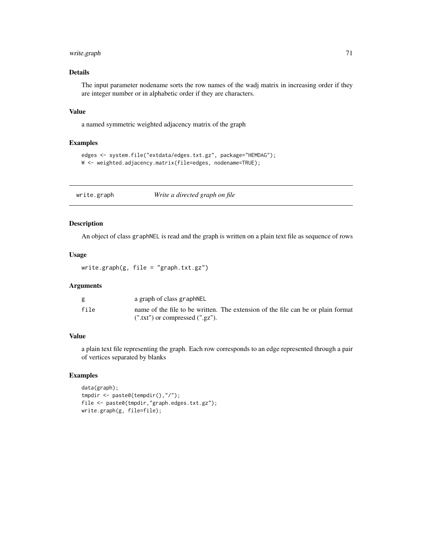### write.graph 71

### Details

The input parameter nodename sorts the row names of the wadj matrix in increasing order if they are integer number or in alphabetic order if they are characters.

### Value

a named symmetric weighted adjacency matrix of the graph

### Examples

```
edges <- system.file("extdata/edges.txt.gz", package="HEMDAG");
W <- weighted.adjacency.matrix(file=edges, nodename=TRUE);
```
write.graph *Write a directed graph on file*

### Description

An object of class graphNEL is read and the graph is written on a plain text file as sequence of rows

### Usage

```
write.graph(g, file = "graph.txt.gz")
```
### Arguments

|      | a graph of class graphNEL                                                        |
|------|----------------------------------------------------------------------------------|
| file | name of the file to be written. The extension of the file can be or plain format |
|      | $(''.txt")$ or compressed $(''.gz").$                                            |

### Value

a plain text file representing the graph. Each row corresponds to an edge represented through a pair of vertices separated by blanks

```
data(graph);
tmpdir <- paste0(tempdir(),"/");
file <- paste0(tmpdir,"graph.edges.txt.gz");
write.graph(g, file=file);
```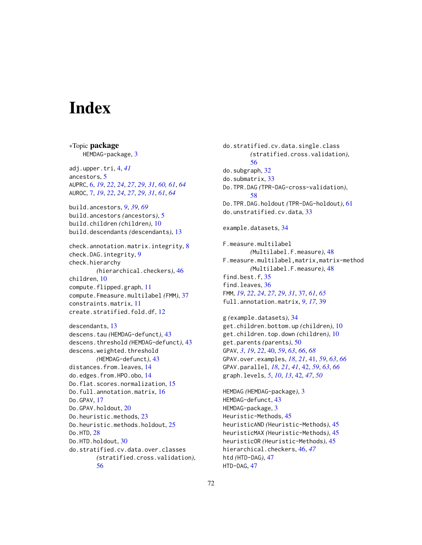# **Index**

∗Topic package HEMDAG-package, [3](#page-2-0) adj.upper.tri, [4,](#page-3-1) *[41](#page-40-1)* ancestors, [5](#page-4-1) AUPRC, [6,](#page-5-1) *[19](#page-18-0)*, *[22](#page-21-0)*, *[24](#page-23-0)*, *[27](#page-26-0)*, *[29](#page-28-0)*, *[31](#page-30-0)*, *[60,](#page-59-0) [61](#page-60-0)*, *[64](#page-63-0)* AUROC, [7,](#page-6-1) *[19](#page-18-0)*, *[22](#page-21-0)*, *[24](#page-23-0)*, *[27](#page-26-0)*, *[29](#page-28-0)*, *[31](#page-30-0)*, *[61](#page-60-0)*, *[64](#page-63-0)* build.ancestors, *[9](#page-8-0)*, *[39](#page-38-0)*, *[69](#page-68-0)* build.ancestors *(*ancestors*)*, [5](#page-4-1) build.children *(*children*)*, [10](#page-9-0) build.descendants *(*descendants*)*, [13](#page-12-0) check.annotation.matrix.integrity, [8](#page-7-0) check.DAG.integrity, [9](#page-8-0) check.hierarchy *(*hierarchical.checkers*)*, [46](#page-45-1) children, [10](#page-9-0) compute.flipped.graph, [11](#page-10-0) compute.Fmeasure.multilabel *(*FMM*)*, [37](#page-36-1) constraints.matrix, [11](#page-10-0) create.stratified.fold.df, [12](#page-11-0) descendants, [13](#page-12-0) descens.tau *(*HEMDAG-defunct*)*, [43](#page-42-0) descens.threshold *(*HEMDAG-defunct*)*, [43](#page-42-0) descens.weighted.threshold *(*HEMDAG-defunct*)*, [43](#page-42-0) distances.from.leaves, [14](#page-13-0) do.edges.from.HPO.obo, [14](#page-13-0) Do.flat.scores.normalization, [15](#page-14-0) Do.full.annotation.matrix, [16](#page-15-0) Do.GPAV, [17](#page-16-0) Do.GPAV.holdout, [20](#page-19-0) Do.heuristic.methods, [23](#page-22-0) Do.heuristic.methods.holdout, [25](#page-24-0) Do.HTD, [28](#page-27-0) Do.HTD.holdout, [30](#page-29-0) do.stratified.cv.data.over.classes *(*stratified.cross.validation*)*, [56](#page-55-0)

do.stratified.cv.data.single.class *(*stratified.cross.validation*)*, [56](#page-55-0) do.subgraph, [32](#page-31-0) do.submatrix, [33](#page-32-0) Do.TPR.DAG *(*TPR-DAG-cross-validation*)*, [58](#page-57-0) Do.TPR.DAG.holdout *(*TPR-DAG-holdout*)*, [61](#page-60-0) do.unstratified.cv.data, [33](#page-32-0) example.datasets, [34](#page-33-0) F.measure.multilabel *(*Multilabel.F.measure*)*, [48](#page-47-1) F.measure.multilabel,matrix,matrix-method *(*Multilabel.F.measure*)*, [48](#page-47-1) find.best.f, [35](#page-34-0) find.leaves, [36](#page-35-0) FMM, *[19](#page-18-0)*, *[22](#page-21-0)*, *[24](#page-23-0)*, *[27](#page-26-0)*, *[29](#page-28-0)*, *[31](#page-30-0)*, [37,](#page-36-1) *[61](#page-60-0)*, *[65](#page-64-2)* full.annotation.matrix, *[9](#page-8-0)*, *[17](#page-16-0)*, [39](#page-38-0) g *(*example.datasets*)*, [34](#page-33-0) get.children.bottom.up *(*children*)*, [10](#page-9-0) get.children.top.down *(*children*)*, [10](#page-9-0) get.parents *(*parents*)*, [50](#page-49-0) GPAV, *[3](#page-2-0)*, *[19](#page-18-0)*, *[22](#page-21-0)*, [40,](#page-39-1) *[59](#page-58-0)*, *[63](#page-62-0)*, *[66](#page-65-0)*, *[68](#page-67-1)* GPAV.over.examples, *[18](#page-17-0)*, *[21](#page-20-0)*, [41,](#page-40-1) *[59](#page-58-0)*, *[63](#page-62-0)*, *[66](#page-65-0)* GPAV.parallel, *[18](#page-17-0)*, *[21](#page-20-0)*, *[41](#page-40-1)*, [42,](#page-41-2) *[59](#page-58-0)*, *[63](#page-62-0)*, *[66](#page-65-0)* graph.levels, *[5](#page-4-1)*, *[10](#page-9-0)*, *[13](#page-12-0)*, [42,](#page-41-2) *[47](#page-46-1)*, *[50](#page-49-0)* HEMDAG *(*HEMDAG-package*)*, [3](#page-2-0) HEMDAG-defunct, [43](#page-42-0) HEMDAG-package, [3](#page-2-0) Heuristic-Methods, [45](#page-44-0) heuristicAND *(*Heuristic-Methods*)*, [45](#page-44-0) heuristicMAX *(*Heuristic-Methods*)*, [45](#page-44-0) heuristicOR *(*Heuristic-Methods*)*, [45](#page-44-0) hierarchical.checkers, [46,](#page-45-1) *[47](#page-46-1)* htd *(*HTD-DAG*)*, [47](#page-46-1)

HTD-DAG, [47](#page-46-1)